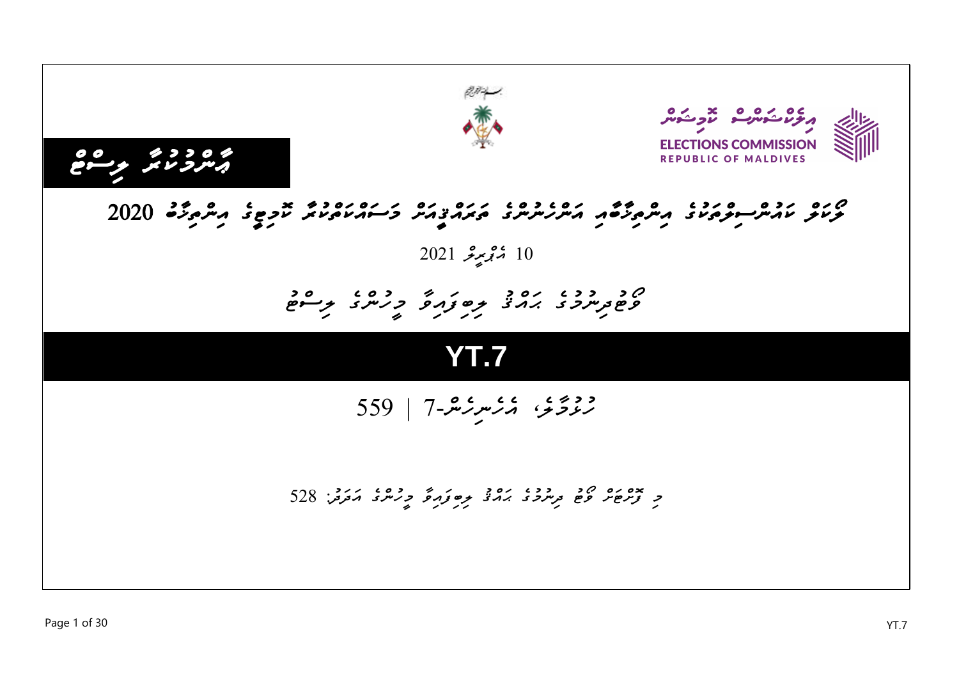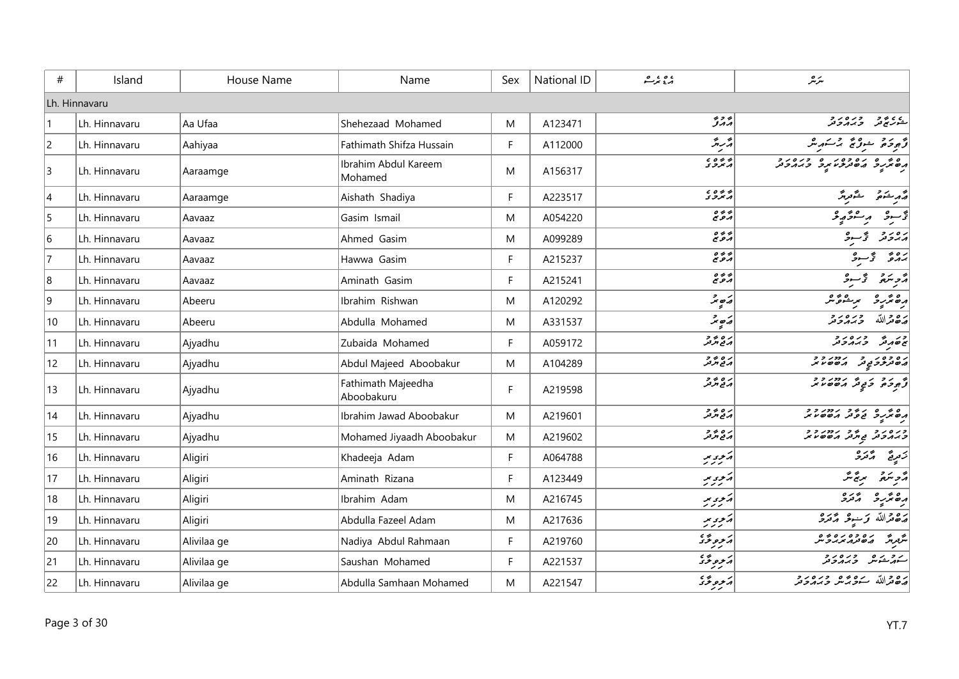| #              | Island        | House Name  | Name                             | Sex       | National ID | ېره پر شه                   | بىر ھ                                           |
|----------------|---------------|-------------|----------------------------------|-----------|-------------|-----------------------------|-------------------------------------------------|
|                | Lh. Hinnavaru |             |                                  |           |             |                             |                                                 |
|                | Lh. Hinnavaru | Aa Ufaa     | Shehezaad Mohamed                | M         | A123471     | ەدىر                        | ے ہے جو حدہ دو<br>شوریخ تر حدید <del>و</del> تر |
| $\overline{c}$ | Lh. Hinnavaru | Aahiyaa     | Fathimath Shifza Hussain         | F         | A112000     | رمبرر                       | ژوځو خورځ پر شهر شر                             |
| 3              | Lh. Hinnavaru | Aaraamge    | Ibrahim Abdul Kareem<br>Mohamed  | M         | A156317     | ږ ده د<br>د ترو د           |                                                 |
| $\overline{4}$ | Lh. Hinnavaru | Aaraamge    | Aishath Shadiya                  | F         | A223517     | پر پر ه ،<br>د تر د د       |                                                 |
| 5              | Lh. Hinnavaru | Aavaaz      | Gasim Ismail                     | M         | A054220     | پر په ه<br>در ون            | ة مشكرة الشمرة.<br>-<br>توسوف المسافرة و        |
| 6              | Lh. Hinnavaru | Aavaaz      | Ahmed Gasim                      | M         | A099289     | په ده<br>در ون              | رەر ئۇسۇ                                        |
| $\overline{7}$ | Lh. Hinnavaru | Aavaaz      | Hawwa Gasim                      | F         | A215237     | پر په ه<br>در ون            | برەپ تۇسىۋ                                      |
| 8              | Lh. Hinnavaru | Aavaaz      | Aminath Gasim                    | F         | A215241     | پر ده<br>در ه               | ومحر سنتعج وتحريره                              |
| 9              | Lh. Hinnavaru | Abeeru      | Ibrahim Rishwan                  | M         | A120292     | لهُ جو تر                   | وەترىرو برىشوشر                                 |
| 10             | Lh. Hinnavaru | Abeeru      | Abdulla Mohamed                  | M         | A331537     | لأھيمه                      | رە دالله دېرەرد                                 |
| 11             | Lh. Hinnavaru | Ajyadhu     | Zubaida Mohamed                  | F         | A059172     | پر ۱۵ پر تر                 | 37073 ברסק                                      |
| 12             | Lh. Hinnavaru | Ajyadhu     | Abdul Majeed Aboobakur           | M         | A104289     | پر ۱۵ پر تر                 | נסכסני כי נחניכל<br>הסתיככת המסטית              |
| 13             | Lh. Hinnavaru | Ajyadhu     | Fathimath Majeedha<br>Aboobakuru | F         | A219598     | پر ۵ پر تر                  | ר בכם כשבת המיני                                |
| 14             | Lh. Hinnavaru | Ajyadhu     | Ibrahim Jawad Aboobakur          | ${\sf M}$ | A219601     | بر 2 پڑ تر<br>پر تع         |                                                 |
| 15             | Lh. Hinnavaru | Ajyadhu     | Mohamed Jiyaadh Aboobakur        | M         | A219602     | بر ۵ بر ۶<br>در ح مرکز      | כנסנכ נישיר נבריכב<br>המאבנג באלנג איסטעיק      |
| 16             | Lh. Hinnavaru | Aligiri     | Khadeeja Adam                    | F         | A064788     | ە ئىرى بىر<br>مەمرىر        | تزمرقے گرمری                                    |
| 17             | Lh. Hinnavaru | Aligiri     | Aminath Rizana                   | F         | A123449     | ە ئورىد<br>مەم              | أأدينهم برائيش                                  |
| 18             | Lh. Hinnavaru | Aligiri     | Ibrahim Adam                     | ${\sf M}$ | A216745     | د و د مر<br>گرم بر          | دە ئەر ئەرە                                     |
| 19             | Lh. Hinnavaru | Aligiri     | Abdulla Fazeel Adam              | M         | A217636     |                             | رەقە الله ترسوش مەترى                           |
| 20             | Lh. Hinnavaru | Alivilaa ge | Nadiya Abdul Rahmaan             | F         | A219760     | ر ً و ه و د د ؟<br>مسرح د د | شهر ده ده ده ده و.<br>سردرش مان در مرد تر سر    |
| 21             | Lh. Hinnavaru | Alivilaa ge | Saushan Mohamed                  | F         | A221537     | ر<br>د موء وٌدَ             | سەرشەھرە دىرەرد                                 |
| 22             | Lh. Hinnavaru | Alivilaa ge | Abdulla Samhaan Mohamed          | M         | A221547     | برووڈی                      | رە قراللە سەۋىر قىرە دىر                        |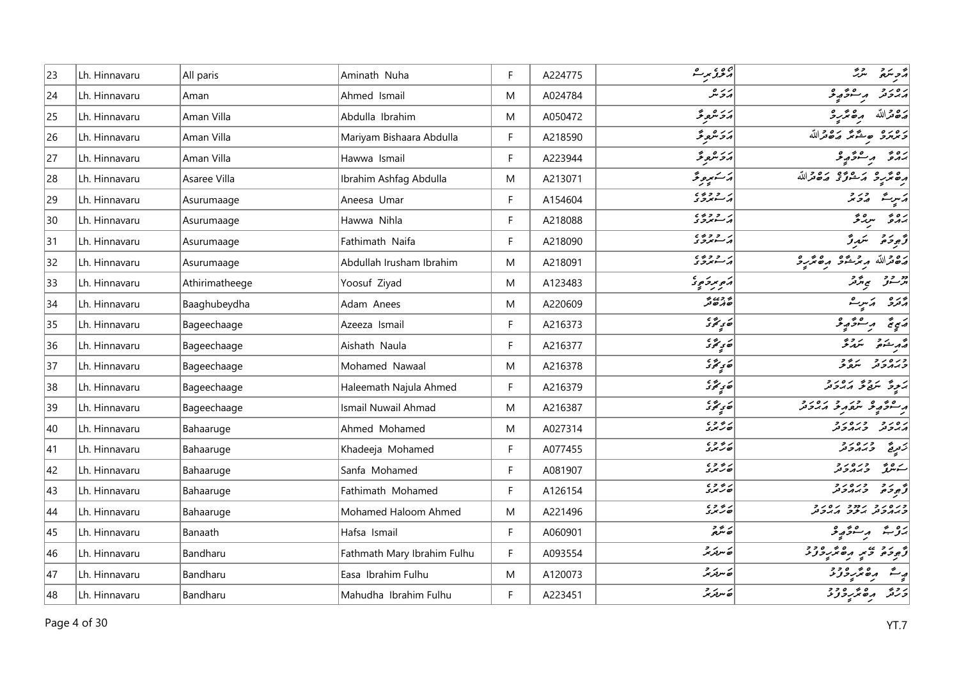| 23 | Lh. Hinnavaru | All paris      | Aminath Nuha                | F           | A224775 | ە دە ئەبەر ھ<br>مەخرىق ئىبەر | سرجر<br>أأرمز تنبغي                                                                 |
|----|---------------|----------------|-----------------------------|-------------|---------|------------------------------|-------------------------------------------------------------------------------------|
| 24 | Lh. Hinnavaru | Aman           | Ahmed Ismail                | M           | A024784 | ەر ھ                         | بر ه بر د<br>مرکز مر<br>برىشۇپەيۋ                                                   |
| 25 | Lh. Hinnavaru | Aman Villa     | Abdulla Ibrahim             | M           | A050472 | ئەنزىقرىقە                   | ەر ھەئرىر 2<br>بر ھەئرىر 2<br>برە تراللە                                            |
| 26 | Lh. Hinnavaru | Aman Villa     | Mariyam Bishaara Abdulla    | F           | A218590 | ر رە<br>مەربىرى ئى           | ره ره صنگه ره قرالله                                                                |
| 27 | Lh. Hinnavaru | Aman Villa     | Hawwa Ismail                | F           | A223944 | ئەئەشھوقە                    | وسنتوره<br>برەپچ                                                                    |
| 28 | Lh. Hinnavaru | Asaree Villa   | Ibrahim Ashfag Abdulla      | M           | A213071 | ئەسەمبەھ بۇ                  | مصريرة مشروع معقرالله                                                               |
| 29 | Lh. Hinnavaru | Asurumaage     | Aneesa Umar                 | F           | A154604 | ر د د د ،<br>د سنترو د       | أرسرت اردر                                                                          |
| 30 | Lh. Hinnavaru | Asurumaage     | Hawwa Nihla                 | F           | A218088 | ر و و د »<br>در سوپرو د      | برەۋ سرچە ئ                                                                         |
| 31 | Lh. Hinnavaru | Asurumaage     | Fathimath Naifa             | F           | A218090 | ر و و د »<br>پرستوری         | تزودة سكرتر                                                                         |
| 32 | Lh. Hinnavaru | Asurumaage     | Abdullah Irusham Ibrahim    | M           | A218091 | ر په ده ده د                 | رەدللە مەترىشى مەھىر د                                                              |
| 33 | Lh. Hinnavaru | Athirimatheege | Yoosuf Ziyad                | M           | A123483 | ړ <sub>ې مرحرم</sub> ،       | انزیستون <sub>ی می</sub> پروتر<br>مراجع                                             |
| 34 | Lh. Hinnavaru | Baaghubeydha   | Adam Anees                  | M           | A220609 | ه ور، د<br>خەز خەنگ          | أردره أرسرت                                                                         |
| 35 | Lh. Hinnavaru | Bageechaage    | Azeeza Ismail               | $\mathsf F$ | A216373 | <br>  ته په نو د             |                                                                                     |
| 36 | Lh. Hinnavaru | Bageechaage    | Aishath Naula               | F           | A216377 | <br>  ته پر گري              | أشهر شوق المتمر                                                                     |
| 37 | Lh. Hinnavaru | Bageechaage    | Mohamed Nawaal              | M           | A216378 | ر<br>ئەس ئە                  | وره رو د دو<br><i>وبرم</i> وتر سر <i>ون</i> و                                       |
| 38 | Lh. Hinnavaru | Bageechaage    | Haleemath Najula Ahmed      | F           | A216379 | <br>  خونځۍ                  | يَا وِيَّ اللَّهُ فَالْمَارَ وَالْمَارَ وَالْمَارَ وَالْمَارَ وَالْمَارَ وَالْمَارَ |
| 39 | Lh. Hinnavaru | Bageechaage    | Ismail Nuwail Ahmad         | M           | A216387 | <br>  ته په نو               | ر مشتر په شهر د مرد در                                                              |
| 40 | Lh. Hinnavaru | Bahaaruge      | Ahmed Mohamed               | M           | A027314 | ر د د ،<br>ن <i>ن تر</i> بو  | ג סגב בג סגב<br>גגבע בגגבע                                                          |
| 41 | Lh. Hinnavaru | Bahaaruge      | Khadeeja Mohamed            | F           | A077455 | ر پر و ،<br>ن <i>ن تر</i> د  | و رە ر د<br>تر پر تر تر<br>  ترْمَدِيحٌ                                             |
| 42 | Lh. Hinnavaru | Bahaaruge      | Sanfa Mohamed               | F           | A081907 | ر پر و ،<br>ن <i>ن تر</i> د  | و ره ر د<br>تر پروتر<br>سەھەر                                                       |
| 43 | Lh. Hinnavaru | Bahaaruge      | Fathimath Mohamed           | F           | A126154 | پر بو د<br>  تصریحوی         | قروح ورەرد                                                                          |
| 44 | Lh. Hinnavaru | Bahaaruge      | Mohamed Haloom Ahmed        | M           | A221496 | ر پر و ،<br>ن <i>ن تر</i> د  | כנסני נחבר נסני<br><mark>ק</mark> מתכת מי <i>בכ המכת</i>                            |
| 45 | Lh. Hinnavaru | Banaath        | Hafsa Ismail                | F           | A060901 | ر پر د<br>خەشبى              | بروبة المستوضية                                                                     |
| 46 | Lh. Hinnavaru | Bandharu       | Fathmath Mary Ibrahim Fulhu | F           | A093554 | ر<br>ئ <i>ەس</i> ىرىمە       | $220.20$<br>$27.20$                                                                 |
| 47 | Lh. Hinnavaru | Bandharu       | Easa Ibrahim Fulhu          | M           | A120073 | ر<br>ت <i>ه سرچر</i> سر      | ديد مقدم دود                                                                        |
| 48 | Lh. Hinnavaru | Bandharu       | Mahudha Ibrahim Fulhu       | F           | A223451 | ر<br>ئ <i>ەس</i> رىرىر       | د و په ووو                                                                          |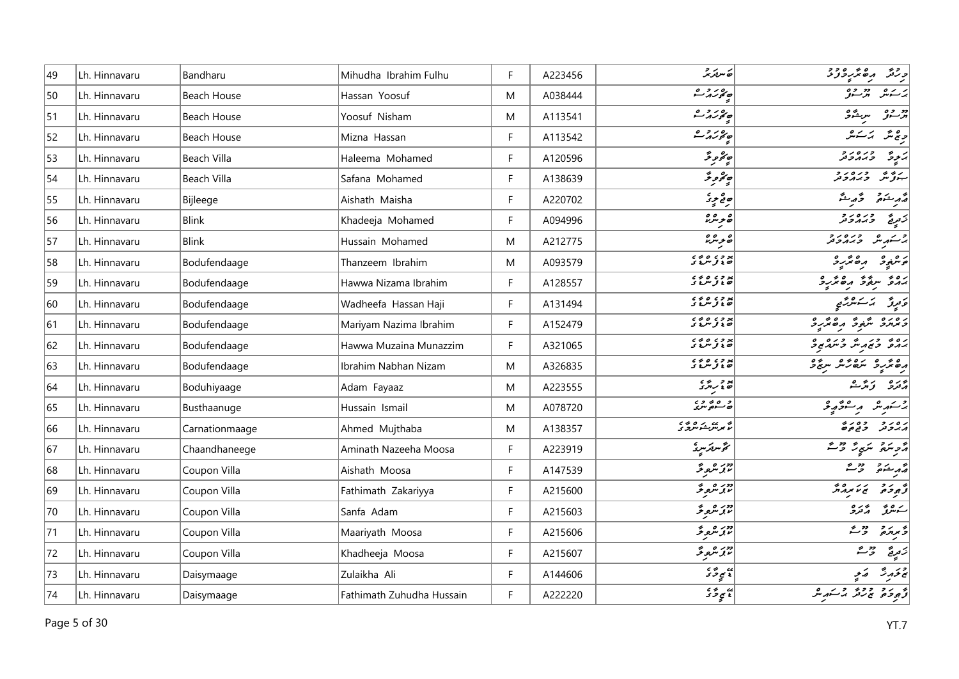| 49 | Lh. Hinnavaru | Bandharu           | Mihudha Ibrahim Fulhu     | F  | A223456 | ر<br>ت <i>ه سرچر</i> پر                   | در بره بر در د                              |
|----|---------------|--------------------|---------------------------|----|---------|-------------------------------------------|---------------------------------------------|
| 50 | Lh. Hinnavaru | <b>Beach House</b> | Hassan Yoosuf             | M  | A038444 | ھەمجە ئەرم                                | دد وه<br>در سور<br>بزسەيىتىر                |
| 51 | Lh. Hinnavaru | <b>Beach House</b> | Yoosuf Nisham             | M  | A113541 | ە ئۇ ئەمر م                               | دد حره<br>سرڪو                              |
| 52 | Lh. Hinnavaru | <b>Beach House</b> | Mizna Hassan              | F  | A113542 | $\sqrt{27.89}$                            | دیج نگر - کامکر                             |
| 53 | Lh. Hinnavaru | <b>Beach Villa</b> | Haleema Mohamed           | F  | A120596 | حەمھ عرقى <b>ر</b>                        | برَجِرةٌ<br>و رە ر د<br>تر پر تر تر         |
| 54 | Lh. Hinnavaru | Beach Villa        | Safana Mohamed            | F  | A138639 | ھەمجەھ <sub>ر</sub> ىتى<br>ئ <sup>ە</sup> | بە دەردە                                    |
| 55 | Lh. Hinnavaru | Bijleege           | Aishath Maisha            | F  | A220702 | ە قىم مورگە<br>م                          | مەرىشقى قەرىش                               |
| 56 | Lh. Hinnavaru | <b>Blink</b>       | Khadeeja Mohamed          | F. | A094996 | ە<br>ھېرىترى                              | و رە ر د<br>تر پر تر تر<br>  ترقيق          |
| 57 | Lh. Hinnavaru | <b>Blink</b>       | Hussain Mohamed           | M  | A212775 | ە د سرر                                   | وكستهر شده وراه والمحمد                     |
| 58 | Lh. Hinnavaru | Bodufendaage       | Thanzeem Ibrahim          | M  | A093579 | پر د ی ه پر ی<br>حدی مربع ی               | ىر مەھرى<br>مۇشر <sub>ۇ</sub> ر<br>برە ئۆرۈ |
| 59 | Lh. Hinnavaru | Bodufendaage       | Hawwa Nizama Ibrahim      | F. | A128557 | پر د ی ه پر ی<br>حدو سرد تر               |                                             |
| 60 | Lh. Hinnavaru | Bodufendaage       | Wadheefa Hassan Haji      | F  | A131494 | پر د ی ه پر ی<br>حدی مربع ی               | برَسە مەرجى پە<br>ءَ دِرُدُّ                |
| 61 | Lh. Hinnavaru | Bodufendaage       | Mariyam Nazima Ibrahim    | F  | A152479 | پر د ی ه و ی<br>چه <b>ز</b> سره ی         | رەرە شەر مەردە                              |
| 62 | Lh. Hinnavaru | Bodufendaage       | Hawwa Muzaina Munazzim    | F  | A321065 | پر دې ه پرې<br>  حديد کورس                | ים בין הירי בינדים כ                        |
| 63 | Lh. Hinnavaru | Bodufendaage       | Ibrahim Nabhan Nizam      | M  | A326835 | پر د ی ه پر ی<br>حدو سرد تر               | ו פי כ מסמית תו                             |
| 64 | Lh. Hinnavaru | Boduhiyaage        | Adam Fayaaz               | M  | A223555 | بر د پر<br>مه گرمزی                       | أثروه وترشى                                 |
| 65 | Lh. Hinnavaru | Busthaanuge        | Hussain Ismail            | M  | A078720 | و ه پر و ،<br>حاسوم سر <sub>ک</sub>       | برسكر شر مر سو د محمد و محمد الله           |
| 66 | Lh. Hinnavaru | Carnationmaage     | Ahmed Mujthaba            | M  | A138357 | ر سر پر دی د د ،<br>ما بر مرکز ک          | ره رو وه ره<br>مدرس وق                      |
| 67 | Lh. Hinnavaru | Chaandhaneege      | Aminath Nazeeha Moosa     | F  | A223919 | كۇسىترسرىگە                               | أزويترة التربيء وحرائثه                     |
| 68 | Lh. Hinnavaru | Coupon Villa       | Aishath Moosa             | F  | A147539 | تزبر مثعرقه                               | ړ ده ده ده د                                |
| 69 | Lh. Hinnavaru | Coupon Villa       | Fathimath Zakariyya       | F  | A215600 | تۇر ش <sub>ىرى</sub> مىتى                 | توجدة بمكترمه                               |
| 70 | Lh. Hinnavaru | Coupon Villa       | Sanfa Adam                | F  | A215603 | تقبر تثرعرقحه                             | سەھەتىر<br>پور ہ<br>مرکز                    |
| 71 | Lh. Hinnavaru | Coupon Villa       | Maariyath Moosa           | F. | A215606 | تزبر مثر محرقحه                           | وحمير وحمح<br>دريمه                         |
| 72 | Lh. Hinnavaru | Coupon Villa       | Khadheeja Moosa           | F  | A215607 | پېړ مر <sub>حو</sub> محر                  | ئرَىم <sub>و</sub> چَّ<br>دينه مش           |
| 73 | Lh. Hinnavaru | Daisymaage         | Zulaikha Ali              | F  | A144606 | ء سچ چری<br>  ناسچ چر <sub>پ</sub>        | چ ئۇ م <sup>ەش</sup><br>ەترىپە              |
| 74 | Lh. Hinnavaru | Daisymaage         | Fathimath Zuhudha Hussain | F  | A222220 | پر سپر می<br>  پاسم سپر سپر               | و دو دوه وريده                              |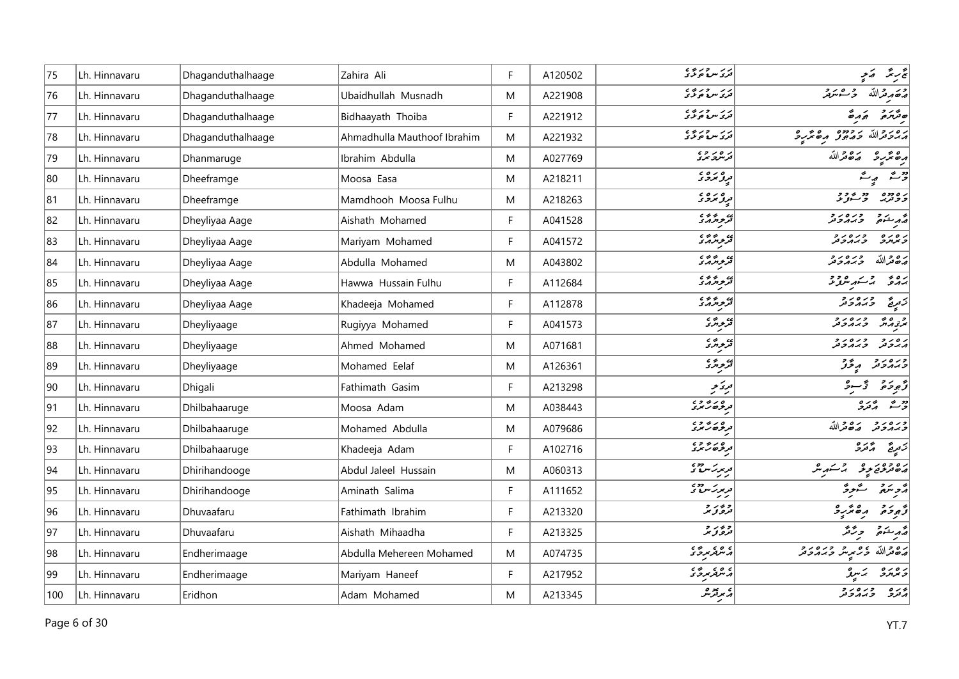| 75  | Lh. Hinnavaru | Dhaganduthalhaage | Zahira Ali                  | F         | A120502 | د د سره د د د<br>  ترو سره بوتر د       |                                                                                                                                                                                                                                  |
|-----|---------------|-------------------|-----------------------------|-----------|---------|-----------------------------------------|----------------------------------------------------------------------------------------------------------------------------------------------------------------------------------------------------------------------------------|
| 76  | Lh. Hinnavaru | Dhaganduthalhaage | Ubaidhullah Musnadh         | M         | A221908 | ر ر سر و ر ر د<br>تری سره بوتری         | مقدمة الله وصرو                                                                                                                                                                                                                  |
| 77  | Lh. Hinnavaru | Dhaganduthalhaage | Bidhaayath Thoiba           | F         | A221912 | پر پر پر چر پر پر<br>  توری سوچ ہی توری | حديدة بمردة                                                                                                                                                                                                                      |
| 78  | Lh. Hinnavaru | Dhaganduthalhaage | Ahmadhulla Mauthoof Ibrahim | M         | A221932 | پر پر پر چربی پر<br>  فرک سرچ پی تو ک   | رەروالله كەمدە مەمدى                                                                                                                                                                                                             |
| 79  | Lh. Hinnavaru | Dhanmaruge        | Ibrahim Abdulla             | M         | A027769 | ر ہ ر و ،<br>ترسرپر <i>پر</i> ی         | أبره يُرْبِرِ وَاللهُ اللَّهُ                                                                                                                                                                                                    |
| 80  | Lh. Hinnavaru | Dheeframge        | Moosa Easa                  | ${\sf M}$ | A218211 | ا پروترو دی<br>پروترو د                 | $\begin{bmatrix} 2 & 2 & 2 \\ 2 & 2 & 2 \end{bmatrix}$                                                                                                                                                                           |
| 81  | Lh. Hinnavaru | Dheeframge        | Mamdhooh Moosa Fulhu        | M         | A218263 | و د ه د ه ،<br>پورتمرد د                | رەپىرە بەردە<br>دونىرىر ۋىسۆر                                                                                                                                                                                                    |
| 82  | Lh. Hinnavaru | Dheyliyaa Aage    | Aishath Mohamed             | F         | A041528 | ء، مورد و<br>مرمز <i>م</i> ر            | ه دره دره در<br>مگرشو درگرونر                                                                                                                                                                                                    |
| 83  | Lh. Hinnavaru | Dheyliyaa Aage    | Mariyam Mohamed             | F         | A041572 | محر پر پر پر                            | ر ه ر ه<br><del>د</del> بربرگ<br>و ره ر و<br><i>د ب</i> رگرفر                                                                                                                                                                    |
| 84  | Lh. Hinnavaru | Dheyliyaa Aage    | Abdulla Mohamed             | ${\sf M}$ | A043802 | ەر بەر بەر<br>قرىر بەر                  | و ر ه ر و<br><i>و پر</i> و تر<br>ەھىراللە                                                                                                                                                                                        |
| 85  | Lh. Hinnavaru | Dheyliyaa Aage    | Hawwa Hussain Fulhu         | F         | A112684 | محرجر پر مح                             | رەپ دىكەس                                                                                                                                                                                                                        |
| 86  | Lh. Hinnavaru | Dheyliyaa Aage    | Khadeeja Mohamed            | F         | A112878 | » دیگری<br> قرمزاری                     | و رە ر د<br><i>د ت</i> ەرىر<br>تزمرچَّ                                                                                                                                                                                           |
| 87  | Lh. Hinnavaru | Dheyliyaage       | Rugiyya Mohamed             | F         | A041573 | شرح مر<br>  قرح مر                      | כ ס 4 כנסנב<br>  <i>נהב החל</i> כגולב                                                                                                                                                                                            |
| 88  | Lh. Hinnavaru | Dheyliyaage       | Ahmed Mohamed               | ${\sf M}$ | A071681 | قرمویزی<br>  قرمویزی                    | ג סג כ כג סג כ                                                                                                                                                                                                                   |
| 89  | Lh. Hinnavaru | Dheyliyaage       | Mohamed Eelaf               | ${\sf M}$ | A126361 | ر<br>ترمویزی                            | ورەر دەر                                                                                                                                                                                                                         |
| 90  | Lh. Hinnavaru | Dhigali           | Fathimath Gasim             | F         | A213298 | مرتز مو                                 | قرموخرة ستخرج                                                                                                                                                                                                                    |
| 91  | Lh. Hinnavaru | Dhilbahaaruge     | Moosa Adam                  | ${\sf M}$ | A038443 | و د ه د و ،<br>درمر <i>ه ر</i> برد      | دو به عرده<br>و شه                                                                                                                                                                                                               |
| 92  | Lh. Hinnavaru | Dhilbahaaruge     | Mohamed Abdulla             | M         | A079686 | و د بر و د<br>ترنژه ر بو د              | وره رو رووالله                                                                                                                                                                                                                   |
| 93  | Lh. Hinnavaru | Dhilbahaaruge     | Khadeeja Adam               | F         | A102716 | ه در ۶۰ و ۷<br>درمزده تر بو ۲           | زَمِرِيَّ , دُمَرَدُ                                                                                                                                                                                                             |
| 94  | Lh. Hinnavaru | Dhirihandooge     | Abdul Jaleel Hussain        | ${\sf M}$ | A060313 | <sub>قریری</sub> سرچء<br>  <u>س</u>     | , סיכפי כב הבית יירא האיריק הייריק ביו האיריק הייריק ביו הייריק ביו הייריק ביו הייריק ביו הייריק ביו הייריק בי<br>היירוש ביו הייריק ביו היירוש היירוש ביו הייריק ביו הייריק ביו הייריק ביו הייריק ביו הייריק ביו הייריק ביו הייר |
| 95  | Lh. Hinnavaru | Dhirihandooge     | Aminath Salima              | F         | A111652 | <sub>قریمر</sub> ر سرد د<br>سر بر       | أرمز<br>سەّمزِرَّ                                                                                                                                                                                                                |
| 96  | Lh. Hinnavaru | Dhuvaafaru        | Fathimath Ibrahim           | F         | A213320 | و په بر ح<br>تر <i>وگ</i> مر            | توجدة مقتررة                                                                                                                                                                                                                     |
| 97  | Lh. Hinnavaru | Dhuvaafaru        | Aishath Mihaadha            | F         | A213325 | و پر د<br>تر <i>وگ</i> مر               | وأرشكم ورمح                                                                                                                                                                                                                      |
| 98  | Lh. Hinnavaru | Endherimaage      | Abdulla Mehereen Mohamed    | ${\sf M}$ | A074735 | پر عربر پر پر پر                        | أرە داللە ئەمبەر دىرەرد                                                                                                                                                                                                          |
| 99  | Lh. Hinnavaru | Endherimaage      | Mariyam Haneef              | F         | A217952 | ء عرو بريخ د<br> مرتفر <i>بر</i> و د    | ومروح برسره                                                                                                                                                                                                                      |
| 100 | Lh. Hinnavaru | Eridhon           | Adam Mohamed                | ${\sf M}$ | A213345 | م بر پر مر<br> رسمبر مر                 | وره دره رد<br>مرتزقر وبرمرد                                                                                                                                                                                                      |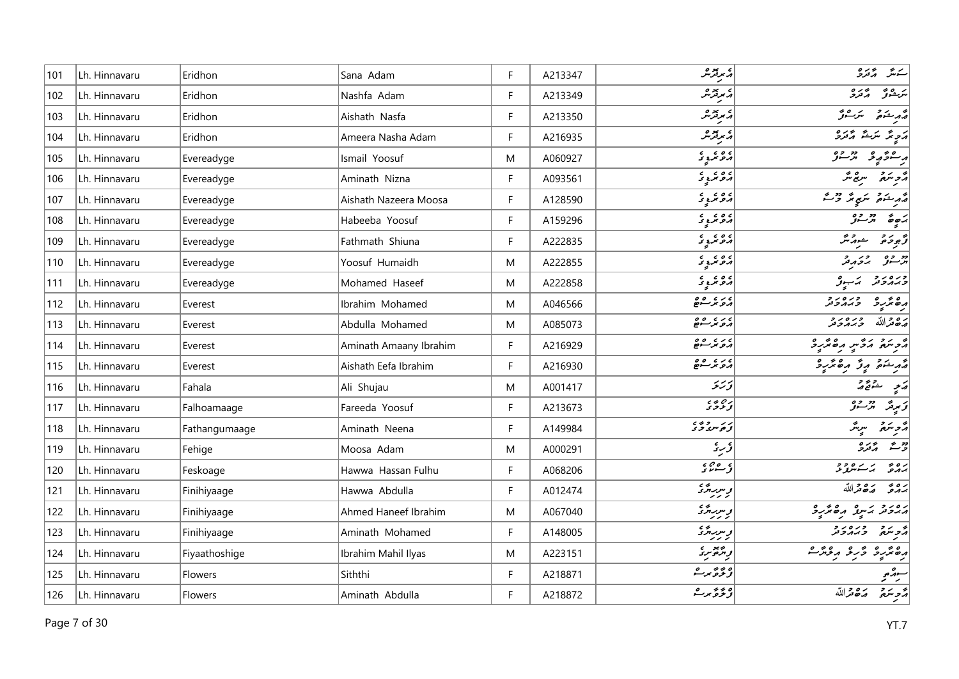| 101 | Lh. Hinnavaru | Eridhon        | Sana Adam              | F  | A213347 | ې پرور<br>مرمرمتر                       | سەنئە ئەترو                                                          |
|-----|---------------|----------------|------------------------|----|---------|-----------------------------------------|----------------------------------------------------------------------|
| 102 | Lh. Hinnavaru | Eridhon        | Nashfa Adam            | F  | A213349 | ە بېرىترىتر                             | سرشوتر<br>پەر ە<br>مەنىرى                                            |
| 103 | Lh. Hinnavaru | Eridhon        | Aishath Nasfa          | F  | A213350 | ه بر تر مر<br>مر تر مر                  | ە ئەرىسىدە<br>مەرسىسە<br>ىئرىشۇ                                      |
| 104 | Lh. Hinnavaru | Eridhon        | Ameera Nasha Adam      | F  | A216935 | ە بېرتىرىگر                             | ړَ پَرُ سَرَ شَہُ اللہ کر م                                          |
| 105 | Lh. Hinnavaru | Evereadyge     | Ismail Yoosuf          | M  | A060927 | ه ه ه و ه<br>مره مربع د                 | ەر شۇ <sub>ھ</sub> بۇ ھەم                                            |
| 106 | Lh. Hinnavaru | Evereadyge     | Aminath Nizna          | F  | A093561 | ه ه ه ه<br>مره مربح د                   | أأديني للمعالم                                                       |
| 107 | Lh. Hinnavaru | Evereadyge     | Aishath Nazeera Moosa  | F  | A128590 | ) ه ه پر پر<br> پروبر د پر              | ۇرخۇ ئىي ئەچ                                                         |
| 108 | Lh. Hinnavaru | Evereadyge     | Habeeba Yoosuf         | F  | A159296 |                                         | $\begin{bmatrix} 0 & 2 & 2 \\ 2 & -2 & 2 \\ 3 & 3 & 2 \end{bmatrix}$ |
| 109 | Lh. Hinnavaru | Evereadyge     | Fathmath Shiuna        | F  | A222835 | ه ه ه ه و ه<br>مره مربح د               | أراموخام المسرائيس                                                   |
| 110 | Lh. Hinnavaru | Evereadyge     | Yoosuf Humaidh         | M  | A222855 | ) ه ه پ م<br>مره مربح تر                | ود ده در در                                                          |
| 111 | Lh. Hinnavaru | Evereadyge     | Mohamed Haseef         | M  | A222858 | ) ه ه پ م<br>  د ه بر د د               | ورەر دىبو                                                            |
| 112 | Lh. Hinnavaru | Everest        | Ibrahim Mohamed        | M  | A046566 | ې په په ه ه<br>پرې مرسو                 | و رە ر د<br><i>د بە</i> پەر<br>ەر ھەترىر <i>3</i>                    |
| 113 | Lh. Hinnavaru | Everest        | Abdulla Mohamed        | M  | A085073 | ې پر په ده ه<br>مرغ مرسو                | رە دالله درەرد                                                       |
| 114 | Lh. Hinnavaru | Everest        | Aminath Amaany Ibrahim | F  | A216929 | ء پر ۽ ره ۾<br> پريو پر سوچ             | ה כ מם הכת הסתקיב                                                    |
| 115 | Lh. Hinnavaru | Everest        | Aishath Eefa Ibrahim   | F  | A216930 | ې په په ده ه<br>مرغ مرسو                | הובלק ול וסתים                                                       |
| 116 | Lh. Hinnavaru | Fahala         | Ali Shujau             | M  | A001417 | ۇزى                                     |                                                                      |
| 117 | Lh. Hinnavaru | Falhoamaage    | Fareeda Yoosuf         | F  | A213673 | ر 0 ء ،<br>و د 5 د                      | توسيقر<br>دد حره<br>در سور                                           |
| 118 | Lh. Hinnavaru | Fathangumaage  | Aminath Neena          | F  | A149984 | ر ر د ده ،<br>زه سد ژ د                 | أرمر<br>سریٹر                                                        |
| 119 | Lh. Hinnavaru | Fehige         | Moosa Adam             | M  | A000291 | ی<br>قرىرى                              | قريح<br>پر رہ<br>درگرو                                               |
| 120 | Lh. Hinnavaru | Feskoage       | Hawwa Hassan Fulhu     | F  | A068206 | ې ده <sup>دي</sup>                      | رە بە<br>بەد ق<br>بر کەھرىر                                          |
| 121 | Lh. Hinnavaru | Finihiyaage    | Hawwa Abdulla          | F  | A012474 | او سربر پر ج<br>اسمبر پر پر چ           | بروء روورالله                                                        |
| 122 | Lh. Hinnavaru | Finihiyaage    | Ahmed Haneef Ibrahim   | M  | A067040 | و سربر پر <sup>ی</sup><br>بر بر بر      | גפנד ג'ייער הסיקיקירי                                                |
| 123 | Lh. Hinnavaru | Finihiyaage    | Aminath Mohamed        | F. | A148005 | او سربر پوځ<br><u>کر ر</u>              | و در وره در<br>مگر شرح در در                                         |
| 124 | Lh. Hinnavaru | Fiyaathoshige  | Ibrahim Mahil Ilyas    | M  | A223151 | و پژ <sub>ه</sub> خ بره<br>ر            | رەمزېرە دىرو رومز                                                    |
| 125 | Lh. Hinnavaru | Flowers        | Siththi                | F  | A218871 | ە ئەمۇ ئىرىشە<br>توقرى <i>ق ئى</i> رىشە | سورصحر                                                               |
| 126 | Lh. Hinnavaru | <b>Flowers</b> | Aminath Abdulla        | F  | A218872 | ە بەيە بەر<br>توقرى <i>م</i> ەر شە      | ړې سره<br>مەھ قىراللە                                                |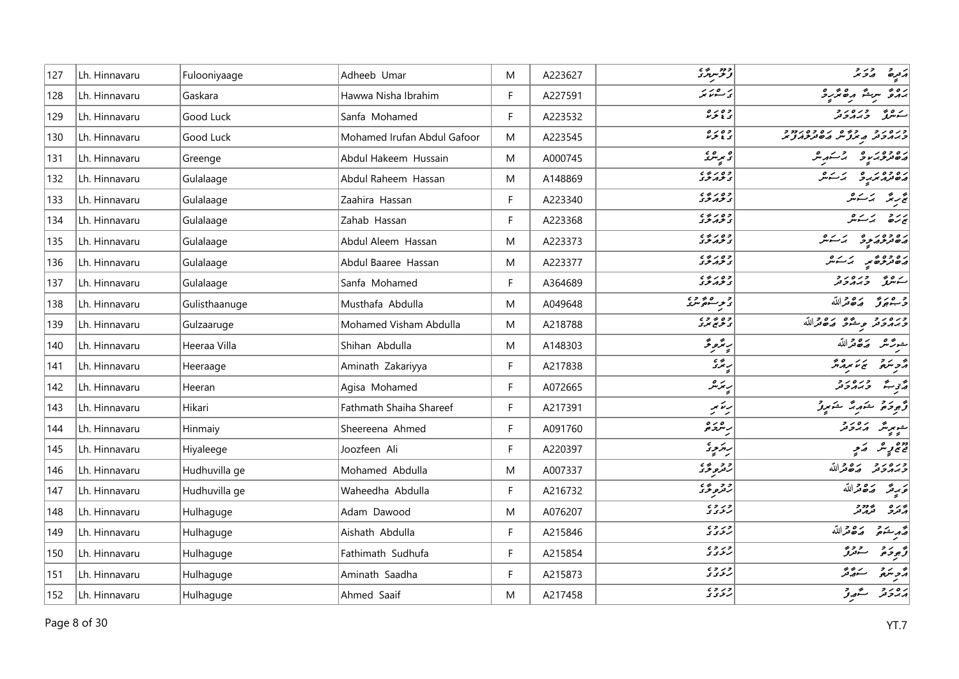| 127 | Lh. Hinnavaru | Fulooniyaage  | Adheeb Umar                 | M | A223627 | و دو سرچري                            | كردرة المرداد                                                                                                                              |
|-----|---------------|---------------|-----------------------------|---|---------|---------------------------------------|--------------------------------------------------------------------------------------------------------------------------------------------|
| 128 | Lh. Hinnavaru | Gaskara       | Hawwa Nisha Ibrahim         | F | A227591 | ىر ھەئەبىر                            |                                                                                                                                            |
| 129 | Lh. Hinnavaru | Good Luck     | Sanfa Mohamed               | F | A223532 | وه بره<br>د ٤ څرنړ                    | سەھەر ئەرەر ئە                                                                                                                             |
| 130 | Lh. Hinnavaru | Good Luck     | Mohamed Irufan Abdul Gafoor | M | A223545 | و ه بر ه<br>د ٤ مر <sup>ر</sup>       | 1999 - 1999 - 1999 - 1999<br>1999 - 1999 - 1999 - 1999 - 1999 - 1999 - 1999 - 1999 - 1999 - 1999 - 1999 - 1999 - 1999 - 1999 - 1999 - 1999 |
| 131 | Lh. Hinnavaru | Greenge       | Abdul Hakeem Hussain        | M | A000745 | دېږمبر                                | رەدەر بور برگېرىگر                                                                                                                         |
| 132 | Lh. Hinnavaru | Gulalaage     | Abdul Raheem Hassan         | M | A148869 | وه پر و ۽<br>پر حرکري                 | גפרפיגפ גבית                                                                                                                               |
| 133 | Lh. Hinnavaru | Gulalaage     | Zaahira Hassan              | F | A223340 | و ه ر پر پر<br><b>ی نژ</b> بر نوی     | ئج رىتى ئەسكەنلە                                                                                                                           |
| 134 | Lh. Hinnavaru | Gulalaage     | Zahab Hassan                | F | A223368 | و ه ر پر پر<br><b>ی نژ</b> برنوی      | ى ئەڭ بار ئىكەنلەر                                                                                                                         |
| 135 | Lh. Hinnavaru | Gulalaage     | Abdul Aleem Hassan          | M | A223373 | د ه د پر پر<br>د نوپرنو د             | גם כסגבל גבית                                                                                                                              |
| 136 | Lh. Hinnavaru | Gulalaage     | Abdul Baaree Hassan         | M | A223377 | و ه ر پر پر<br><b>ی نژ</b> برنوی      | رە دەم بەسكىر                                                                                                                              |
| 137 | Lh. Hinnavaru | Gulalaage     | Sanfa Mohamed               | F | A364689 | و ه بر پر پر<br>پر محرکو پر           | سكاند ورەر و                                                                                                                               |
| 138 | Lh. Hinnavaru | Gulisthaanuge | Musthafa Abdulla            | M | A049648 | د و ه ه و و و و<br>  د و ه هوسرد      | و مرد ده ترالله                                                                                                                            |
| 139 | Lh. Hinnavaru | Gulzaaruge    | Mohamed Visham Abdulla      | M | A218788 | و ه پر و ء<br>د نومځ مرد              | وره رو وحده ره والله                                                                                                                       |
| 140 | Lh. Hinnavaru | Heeraa Villa  | Shihan Abdulla              | M | A148303 | رېژونژ                                | ىشو <i>گىڭى مەھ</i> قراللە                                                                                                                 |
| 141 | Lh. Hinnavaru | Heeraage      | Aminath Zakariyya           | F | A217838 | ر پوء<br>په مرد                       | הכתב גל תאת                                                                                                                                |
| 142 | Lh. Hinnavaru | Heeran        | Agisa Mohamed               | F | A072665 | رىرىر                                 | أثمتي في وره رو                                                                                                                            |
| 143 | Lh. Hinnavaru | Hikari        | Fathmath Shaiha Shareef     | F | A217391 | رىكىر                                 | قُهِ وَمُ شَهْرِبٌ شَهْرٍ وُ                                                                                                               |
| 144 | Lh. Hinnavaru | Hinmaiy       | Sheereena Ahmed             | F | A091760 | برمرده                                | شومرنگر - 1927 هـ                                                                                                                          |
| 145 | Lh. Hinnavaru | Hiyaleege     | Joozfeen Ali                | F | A220397 | رېزونه<br>ر                           | ده و شهر ده کند.<br>منابع در سی                                                                                                            |
| 146 | Lh. Hinnavaru | Hudhuvilla ge | Mohamed Abdulla             | M | A007337 | د د په په<br>  رتر <sub>ن</sub> و ژبه | وره رو ده دالله                                                                                                                            |
| 147 | Lh. Hinnavaru | Hudhuvilla ge | Waheedha Abdulla            | F | A216732 | د د<br>رتره ژی                        | أقربيقر الكافد الله                                                                                                                        |
| 148 | Lh. Hinnavaru | Hulhaguge     | Adam Dawood                 | M | A076207 | و ر و ،<br>رى ى                       | بر ره پروو<br>پرترو تربرتر                                                                                                                 |
| 149 | Lh. Hinnavaru | Hulhaguge     | Aishath Abdulla             | F | A215846 | و ر و ،<br>رو ړ                       | وحمر منكرة والتكالله                                                                                                                       |
| 150 | Lh. Hinnavaru | Hulhaguge     | Fathimath Sudhufa           | F | A215854 | و ر و ،<br>ری ی                       | تو دو دود.<br>توجود مستعرق                                                                                                                 |
| 151 | Lh. Hinnavaru | Hulhaguge     | Aminath Saadha              | F | A215873 | و ر و ،<br>رؤى ي                      | ړې سره د سرورته                                                                                                                            |
| 152 | Lh. Hinnavaru | Hulhaguge     | Ahmed Saaif                 | M | A217458 | و ر و ،<br>رؤى ي                      | ړه پر شهر                                                                                                                                  |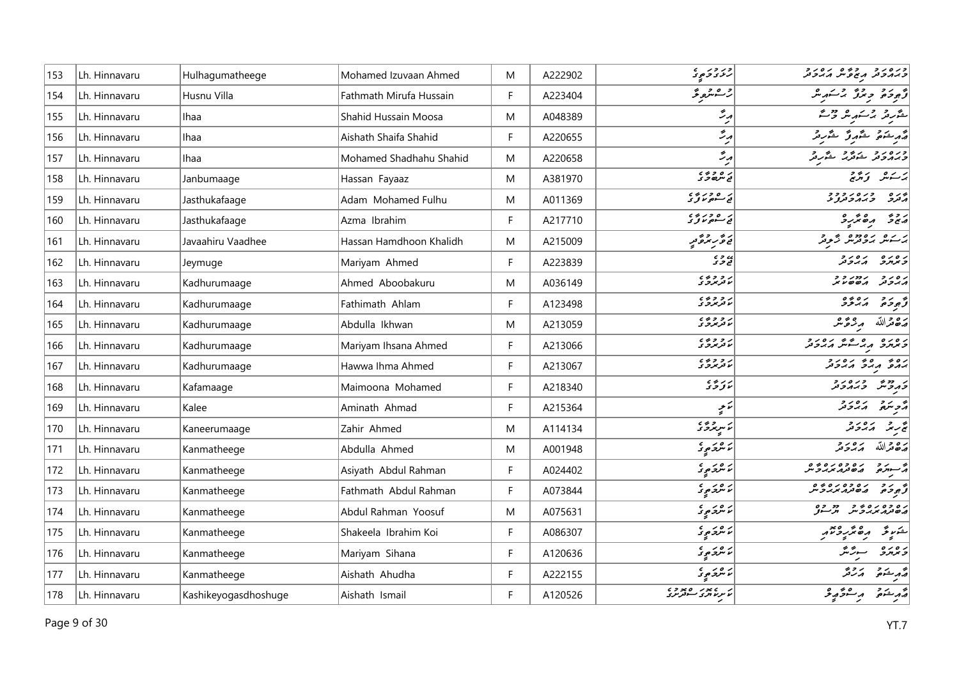| 153 | Lh. Hinnavaru | Hulhagumatheege      | Mohamed Izuvaan Ahmed   | M  | A222902 | ور ور<br>رند <sub>و ک</sub> و <sub>ی</sub> | כנסנכן כשם נסנכ<br>כמהככת המפית המכת                                                                                                                                                                                             |
|-----|---------------|----------------------|-------------------------|----|---------|--------------------------------------------|----------------------------------------------------------------------------------------------------------------------------------------------------------------------------------------------------------------------------------|
| 154 | Lh. Hinnavaru | Husnu Villa          | Fathmath Mirufa Hussain | F  | A223404 | <sup>ر</sup> سەيىرى ئە                     | توجوج وبرق برسكر                                                                                                                                                                                                                 |
| 155 | Lh. Hinnavaru | Ihaa                 | Shahid Hussain Moosa    | M  | A048389 | وشح                                        | شرىر برخىر شرور مخت                                                                                                                                                                                                              |
| 156 | Lh. Hinnavaru | Ihaa                 | Aishath Shaifa Shahid   | F  | A220655 | ويح                                        | وموضوح مشروق مشررته                                                                                                                                                                                                              |
| 157 | Lh. Hinnavaru | Ihaa                 | Mohamed Shadhahu Shahid | M  | A220658 | مرشح                                       | ورەرو خەمەر خەرىر                                                                                                                                                                                                                |
| 158 | Lh. Hinnavaru | Janbumaage           | Hassan Fayaaz           | M  | A381970 | ر ه د و »<br>تع سره تر د                   | برسەش زېرىيج                                                                                                                                                                                                                     |
| 159 | Lh. Hinnavaru | Jasthukafaage        | Adam Mohamed Fulhu      | M  | A011369 | ر ده در ده د<br>د که سوه د تو د            | وره دره رددد<br>مترد دبرمزنرنز                                                                                                                                                                                                   |
| 160 | Lh. Hinnavaru | Jasthukafaage        | Azma Ibrahim            | F  | A217710 | ر ده د ر ږ ،<br>د کستونو د                 |                                                                                                                                                                                                                                  |
| 161 | Lh. Hinnavaru | Javaahiru Vaadhee    | Hassan Hamdhoon Khalidh | M  | A215009 | ئے قرىر ترقى تىر                           | ر ره دره ۵۶۶۵ د گرفتر<br>رسانتر بروترس گرفتر                                                                                                                                                                                     |
| 162 | Lh. Hinnavaru | Jeymuge              | Mariyam Ahmed           | F  | A223839 | ړے و بم<br>قع <del>ت</del> ر ن             |                                                                                                                                                                                                                                  |
| 163 | Lh. Hinnavaru | Kadhurumaage         | Ahmed Aboobakuru        | M  | A036149 | ر و و د د<br>ما تعریمر <del>ت</del> ر ی    | 77/77/<br>بر ه بر د<br>م <i>. ب</i> ر <del>د</del> تر                                                                                                                                                                            |
| 164 | Lh. Hinnavaru | Kadhurumaage         | Fathimath Ahlam         | F  | A123498 | ر و و د د<br>را تعریمراتر ی                | أوجود روده                                                                                                                                                                                                                       |
| 165 | Lh. Hinnavaru | Kadhurumaage         | Abdulla Ikhwan          | M  | A213059 | ر و و د  ،<br>ما توبوری                    | مَصْعَرَاللّه مِنْ عَمْ مَرْ                                                                                                                                                                                                     |
| 166 | Lh. Hinnavaru | Kadhurumaage         | Mariyam Ihsana Ahmed    | F  | A213066 | ر و و د ،<br>ما توبوری                     | י פי פי היו היי היי היי היי בי היי בי היי בי היי בי היי בי היי בי היי בי היי בי היי בי היי בי היי בי היי בי הי<br>היי בי היי היי היי היי היי היי בי היי בי היי בי היי בי היי בי היי בי היי בי היי בי היי בי היי בי היי בי היי בי |
| 167 | Lh. Hinnavaru | Kadhurumaage         | Hawwa Ihma Ahmed        | F  | A213067 | ر و و د  ،<br>ما توبوری                    | גם זה הם גם גבת<br>גבל הגב הגבת                                                                                                                                                                                                  |
| 168 | Lh. Hinnavaru | Kafamaage            | Maimoona Mohamed        | F  | A218340 | ر ر پر پر<br>رو تر <sub>تر</sub>           | ז מי כנסנים                                                                                                                                                                                                                      |
| 169 | Lh. Hinnavaru | Kalee                | Aminath Ahmad           | F. | A215364 | ئىمو                                       | أأروسكم المدوس                                                                                                                                                                                                                   |
| 170 | Lh. Hinnavaru | Kaneerumaage         | Zahir Ahmed             | M  | A114134 | ر<br>مأسو پر ژی                            | تجربتى مەرجى                                                                                                                                                                                                                     |
| 171 | Lh. Hinnavaru | Kanmatheege          | Abdulla Ahmed           | M  | A001948 | ر هر د پر<br>مورد پ                        | برە تراللە<br>بر 2 پر 5<br>مرکز قر                                                                                                                                                                                               |
| 172 | Lh. Hinnavaru | Kanmatheege          | Asiyath Abdul Rahman    | F  | A024402 | ر ه ر<br>پاسر <sub>د مو</sub> ر            | ره وه ره د ه<br>پره تربر تر تر<br>پر<br>مرگ سوہر ہی                                                                                                                                                                              |
| 173 | Lh. Hinnavaru | Kanmatheege          | Fathmath Abdul Rahman   | F  | A073844 | لأمثر خروته                                | ه د د ده ده ده ده و<br>ژبوده ماه در در د کر                                                                                                                                                                                      |
| 174 | Lh. Hinnavaru | Kanmatheege          | Abdul Rahman Yoosuf     | M  | A075631 | ر ه ر<br>پاسر <sub>د مو</sub> ر            | נסכסנסים כברכם<br>הסנקה <i>בגב</i> ית ת—נ                                                                                                                                                                                        |
| 175 | Lh. Hinnavaru | Kanmatheege          | Shakeela Ibrahim Koi    | F. | A086307 | ر هر د ه<br>ما مرد ه <sub>و</sub> د        | شرىدۇ بەھ <i>ترى</i> دە بىر                                                                                                                                                                                                      |
| 176 | Lh. Hinnavaru | Kanmatheege          | Mariyam Sihana          | F  | A120636 | ر هر د ه<br>ما مرد ه <sub>و</sub> د        | ر ه ر ه<br><del>ر</del> بربرگ<br>سەرتىگە                                                                                                                                                                                         |
| 177 | Lh. Hinnavaru | Kanmatheege          | Aishath Ahudha          | F  | A222155 | ئەنگە ئەيج                                 | مەرشىم مەر                                                                                                                                                                                                                       |
| 178 | Lh. Hinnavaru | Kashikeyogasdhoshuge | Aishath Ismail          | F  | A120526 | ر ر ، پر ر ه پر و ،<br>با برنامری سوتوبری  | مەستىق مەسىر مەيد                                                                                                                                                                                                                |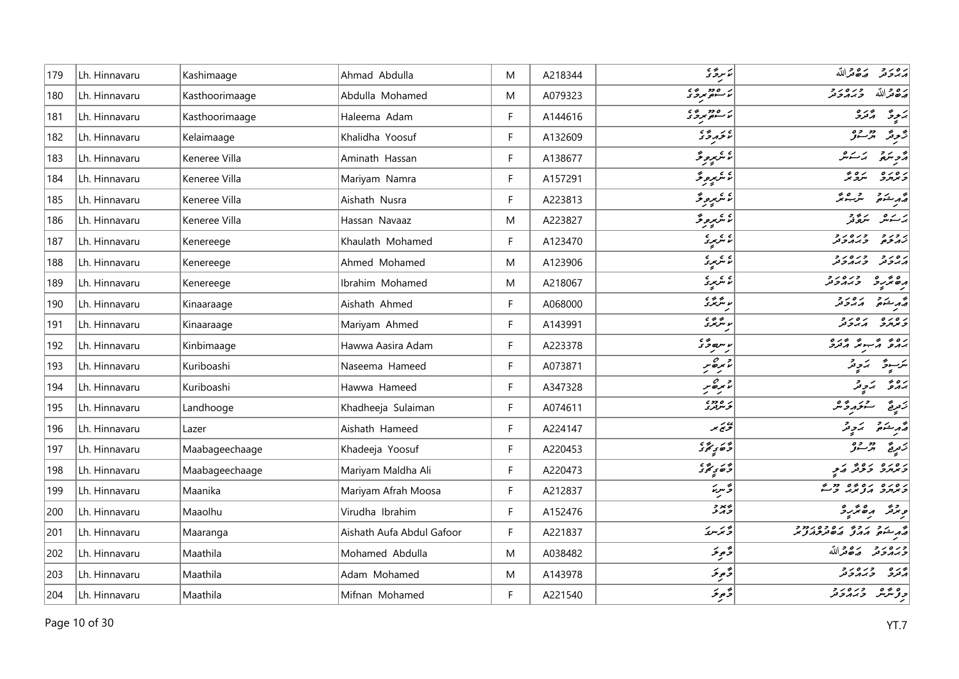| 179 | Lh. Hinnavaru | Kashimaage     | Ahmad Abdulla             | M           | A218344 | ر روم<br>ما سرچ <sub>ک</sub>     | برورد بره قرالله                                                   |
|-----|---------------|----------------|---------------------------|-------------|---------|----------------------------------|--------------------------------------------------------------------|
| 180 | Lh. Hinnavaru | Kasthoorimaage | Abdulla Mohamed           | M           | A079323 | ر ۶۵ وجو پر دی<br>ما سوچ بر تر ی | مەھىراللە<br>و ر ه ر و<br><i>و پر</i> پر تر                        |
| 181 | Lh. Hinnavaru | Kasthoorimaage | Haleema Adam              | F           | A144616 | ر ره دو په و                     | پر پوځ<br>پور ہ<br>مرکز ژ                                          |
| 182 | Lh. Hinnavaru | Kelaimaage     | Khalidha Yoosuf           | F           | A132609 | ، ئەدىرى                         | رٌوِرٌ<br>دد وه<br>در سور                                          |
| 183 | Lh. Hinnavaru | Keneree Villa  | Aminath Hassan            | F           | A138677 | ، ئەبىرە ب <sup>ۇ</sup>          | برسەيىتىر<br>ړ څر سرچ                                              |
| 184 | Lh. Hinnavaru | Keneree Villa  | Mariyam Namra             | $\mathsf F$ | A157291 | ، ئەبىرە ب <sup>ۇ</sup>          | ر ه بر ه<br>تر بر بر<br>ىر ە بۇ<br>سرچ بىر                         |
| 185 | Lh. Hinnavaru | Keneree Villa  | Aishath Nusra             | F           | A223813 | ، ئەبىرە ب <sup>ۇ</sup>          | ىترىبەتر<br>لمجمر مشكرة                                            |
| 186 | Lh. Hinnavaru | Keneree Villa  | Hassan Navaaz             | M           | A223827 | ، ئەبىرە ۋ                       | ئەسەھ بىر ئوقر                                                     |
| 187 | Lh. Hinnavaru | Kenereege      | Khaulath Mohamed          | F           | A123470 | ى<br>ئامىرىيەنى                  | ز در د<br>و رە ر د<br>تر پروتر                                     |
| 188 | Lh. Hinnavaru | Kenereege      | Ahmed Mohamed             | M           | A123906 | ى<br>ئەمىرىمورى                  | و رە ر د<br><i>د بە</i> د تر<br>بر 2 پر 15<br>مربر <del>5</del> فر |
| 189 | Lh. Hinnavaru | Kenereege      | Ibrahim Mohamed           | M           | A218067 | ى<br>ئەمىرىموچ                   | و رە ر د<br><i>د بە</i> د تر<br>ەرھەتمەر <sup>9</sup>              |
| 190 | Lh. Hinnavaru | Kinaaraage     | Aishath Ahmed             | $\mathsf F$ | A068000 | ىر مېژىپى<br>س                   | و د ده د د د د د د                                                 |
| 191 | Lh. Hinnavaru | Kinaaraage     | Mariyam Ahmed             | $\mathsf F$ | A143991 | ىر مېژىپرى<br>س                  | נפנס נפנד                                                          |
| 192 | Lh. Hinnavaru | Kinbimaage     | Hawwa Aasira Adam         | $\mathsf F$ | A223378 | ا را سرچ دی<br>اس سرچ دی         | ره ۶ م برو ۲۶ دره<br>  براره از برو اردره                          |
| 193 | Lh. Hinnavaru | Kuriboashi     | Naseema Hameed            | $\mathsf F$ | A073871 | لأبره بر                         | لترسوم الكافية                                                     |
| 194 | Lh. Hinnavaru | Kuriboashi     | Hawwa Hameed              | F           | A347328 | لأعرضو                           |                                                                    |
| 195 | Lh. Hinnavaru | Landhooge      | Khadheeja Sulaiman        | $\mathsf F$ | A074611 | ر ۵ دو ،<br>نومبربر و            | زَمِرِةً خَوَرَدَّشْ                                               |
| 196 | Lh. Hinnavaru | Lazer          | Aishath Hameed            | $\mathsf F$ | A224147 | دے ر<br>محریم مور                | م المستوفر المستحدث                                                |
| 197 | Lh. Hinnavaru | Maabageechaage | Khadeeja Yoosuf           | F           | A220453 | د گڼې کوي<br>د گڼې               | ر<br>ئىمەرىقى<br>مەسىم<br>دد و ه<br>در سرو                         |
| 198 | Lh. Hinnavaru | Maabageechaage | Mariyam Maldha Ali        | $\mathsf F$ | A220473 | په ره په په<br>د ځانگړۍ          | ره ره ده و ځو که د                                                 |
| 199 | Lh. Hinnavaru | Maanika        | Mariyam Afrah Moosa       | $\mathsf F$ | A212837 | وحسيبة                           | נפנם נפים חודש.<br>במחב הנמג כי                                    |
| 200 | Lh. Hinnavaru | Maaolhu        | Virudha Ibrahim           | $\mathsf F$ | A152476 | پر پر و<br>و پر ن                | وبزمد رەبرىر                                                       |
| 201 | Lh. Hinnavaru | Maaranga       | Aishath Aufa Abdul Gafoor | F           | A221837 | ۇ ئەسرىم                         | ه مشرح بروه بره وه بردد و<br>هم مشرح مممل مصر مرحم تر              |
| 202 | Lh. Hinnavaru | Maathila       | Mohamed Abdulla           | M           | A038482 | ۇ بوخە                           | ورەرو رەورلله                                                      |
| 203 | Lh. Hinnavaru | Maathila       | Adam Mohamed              | M           | A143978 | و څمو ځه<br>ر                    | و ر ه ر د<br>تر پر ژ تر<br>پە رە<br>مەنزۈ                          |
| 204 | Lh. Hinnavaru | Maathila       | Mifnan Mohamed            | F           | A221540 | قرموخه                           | ووشرش وبره رو                                                      |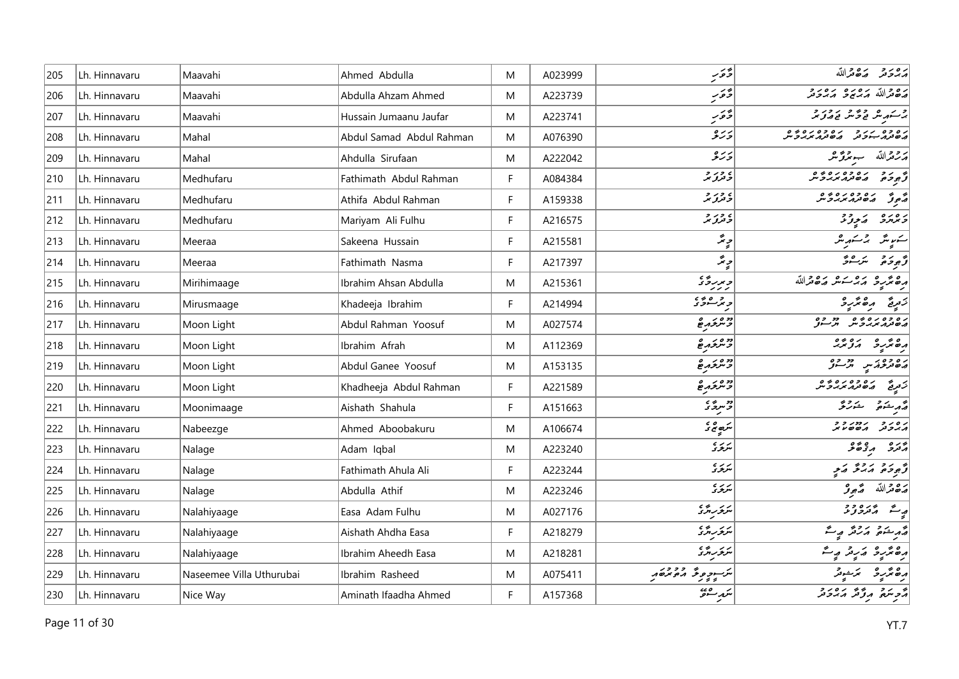| 205 | Lh. Hinnavaru | Maavahi                  | Ahmed Abdulla            | ${\sf M}$ | A023999 | پە ئە<br>قەھەب                   | برورد بره دالله                                                                                                                                                                                                                 |
|-----|---------------|--------------------------|--------------------------|-----------|---------|----------------------------------|---------------------------------------------------------------------------------------------------------------------------------------------------------------------------------------------------------------------------------|
| 206 | Lh. Hinnavaru | Maavahi                  | Abdulla Ahzam Ahmed      | ${\sf M}$ | A223739 | پە بەر<br>ج                      | رە داللە مەرە مەرد                                                                                                                                                                                                              |
| 207 | Lh. Hinnavaru | Maavahi                  | Hussain Jumaanu Jaufar   | ${\sf M}$ | A223741 | ځ ځونر                           | ج ڪرمان اور دار دار دار دار دار                                                                                                                                                                                                 |
| 208 | Lh. Hinnavaru | Mahal                    | Abdul Samad Abdul Rahman | M         | A076390 | ۇربۇ                             | ג ס כ ס ג ג כ ג ג ה ס כ ס ג ס שי ה ה שירה יות.<br>ה ש שירה ה יותר ב ה ה ה ה שירה מ ה ב יות                                                                                                                                      |
| 209 | Lh. Hinnavaru | Mahal                    | Ahdulla Sirufaan         | M         | A222042 | ۇربى                             | برحيمرالله سومروهر                                                                                                                                                                                                              |
| 210 | Lh. Hinnavaru | Medhufaru                | Fathimath Abdul Rahman   | F         | A084384 | ې د پر چه ک                      | ه د د ده ده ده ده و.<br>ژبودي ماه ترم بربار تر                                                                                                                                                                                  |
| 211 | Lh. Hinnavaru | Medhufaru                | Athifa Abdul Rahman      | F         | A159338 | ى تەرىخە<br>خەنقرىمى             | د ده ده ده ده ده م                                                                                                                                                                                                              |
| 212 | Lh. Hinnavaru | Medhufaru                | Mariyam Ali Fulhu        | F         | A216575 | ى تەرىخە<br>خەنقرىمى             | د ۱۳۷۶ - مرور د                                                                                                                                                                                                                 |
| 213 | Lh. Hinnavaru | Meeraa                   | Sakeena Hussain          | F         | A215581 | حريم                             | سكيانكر المرتكز مكر مكر                                                                                                                                                                                                         |
| 214 | Lh. Hinnavaru | Meeraa                   | Fathimath Nasma          | F         | A217397 | جوتنر                            | أثرج وحراماتهم                                                                                                                                                                                                                  |
| 215 | Lh. Hinnavaru | Mirihimaage              | Ibrahim Ahsan Abdulla    | M         | A215361 | او برروی<br><u>در</u>            | مەمگرىق مەم ئەم مەھمراللە                                                                                                                                                                                                       |
| 216 | Lh. Hinnavaru | Mirusmaage               | Khadeeja Ibrahim         | F         | A214994 | ج جر صور ی                       | زَ ترِيحٌ مِنْ مُرْرِدْ                                                                                                                                                                                                         |
| 217 | Lh. Hinnavaru | Moon Light               | Abdul Rahman Yoosuf      | ${\sf M}$ | A027574 | لتشريخهم                         | , סכס גם צם פריכם<br>גם <i>בנג בנג</i> ל יית                                                                                                                                                                                    |
| 218 | Lh. Hinnavaru | Moon Light               | Ibrahim Afrah            | M         | A112369 | ده ورغ<br>  د سر درغ             | مەھەر بەرە بەرە                                                                                                                                                                                                                 |
| 219 | Lh. Hinnavaru | Moon Light               | Abdul Ganee Yoosuf       | M         | A153135 | لتشريخهم                         | גם כסג היה מ- כס<br>הסטפה יית היית                                                                                                                                                                                              |
| 220 | Lh. Hinnavaru | Moon Light               | Khadheeja Abdul Rahman   | F         | A221589 | لتشريخه وهج                      | ر د ده وه د ه ده و.<br>نرویج د ماه تر مار مربر و س                                                                                                                                                                              |
| 221 | Lh. Hinnavaru | Moonimaage               | Aishath Shahula          | F         | A151663 | اد سرچ په<br>ار                  | ە ئەر ئىكى ئىكەن ئىكەن ئىكەن ئىكەن ئىكەن ئىكەن ئىكەن ئىكەن ئىكەن ئىكەن ئىكەن ئىكەن ئىكەن ئىكەن ئىكەن ئىكەن ئىك<br>مەم ئىكەن ئىكەن ئىكەن ئىكەن ئىكەن ئىكەن ئىكەن ئىكەن ئىكەن ئىكەن ئىكەن ئىكەن ئىكەن ئىكەن ئىكەن ئىكەن ئىكەن ئىك |
| 222 | Lh. Hinnavaru | Nabeezge                 | Ahmed Aboobakuru         | M         | A106674 | سەھ تە                           | נפני נמנים<br>גיבת גםסטיב                                                                                                                                                                                                       |
| 223 | Lh. Hinnavaru | Nalage                   | Adam Iqbal               | M         | A223240 | ىرىر ئ                           | پره دره و.<br>پرتر پروهن                                                                                                                                                                                                        |
| 224 | Lh. Hinnavaru | Nalage                   | Fathimath Ahula Ali      | F         | A223244 | سرير ۽                           | أوجوحه منكفر مدبي                                                                                                                                                                                                               |
| 225 | Lh. Hinnavaru | Nalage                   | Abdulla Athif            | ${\sf M}$ | A223246 | سریز کا                          |                                                                                                                                                                                                                                 |
| 226 | Lh. Hinnavaru | Nalahiyaage              | Easa Adam Fulhu          | ${\sf M}$ | A027176 | يزويرون                          | ړ کشه د جرو و و<br>په سنگ د کمکرونو لو                                                                                                                                                                                          |
| 227 | Lh. Hinnavaru | Nalahiyaage              | Aishath Ahdha Easa       | F         | A218279 | ىر ئەرەرى<br>سرىخرىرىرى          | و در در در در د                                                                                                                                                                                                                 |
| 228 | Lh. Hinnavaru | Nalahiyaage              | Ibrahim Aheedh Easa      | ${\sf M}$ | A218281 | ىر ئەرەپرى<br>سرى <i>ۋىر</i> ىرى | دەندىر دىرد دىش                                                                                                                                                                                                                 |
| 229 | Lh. Hinnavaru | Naseemee Villa Uthurubai | Ibrahim Rasheed          | M         | A075411 | al 1999<br>Al 1990, 1990, 1991   |                                                                                                                                                                                                                                 |
| 230 | Lh. Hinnavaru | Nice Way                 | Aminath Ifaadha Ahmed    | F         | A157368 | لتنديق                           | أأرضغ أرقيم أره رو                                                                                                                                                                                                              |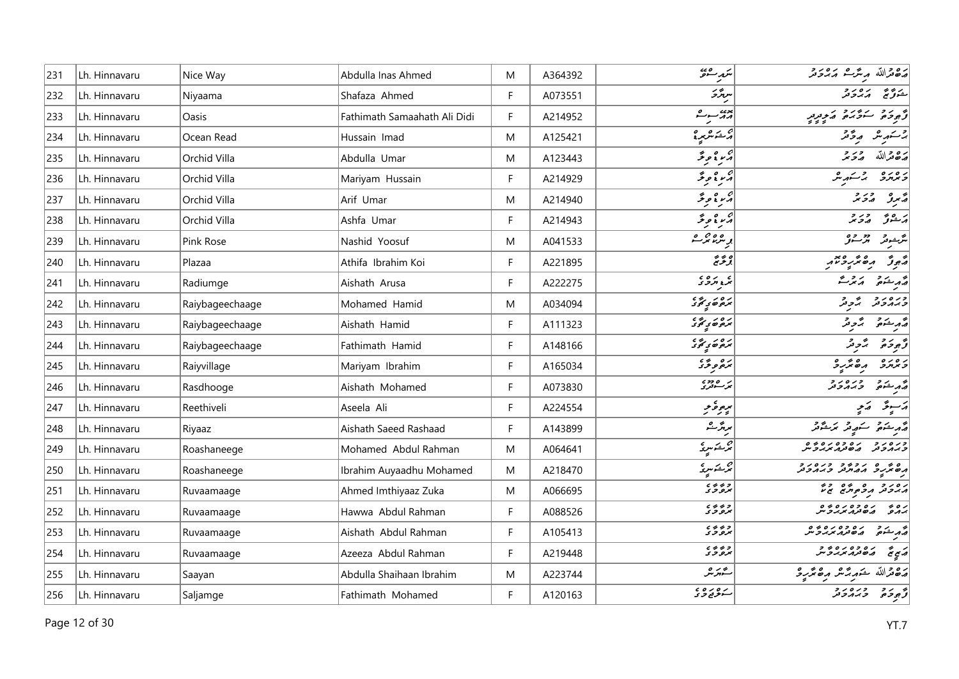| 231 | Lh. Hinnavaru | Nice Way         | Abdulla Inas Ahmed           | M         | A364392 | سر مرے دی                     | أرَدْ اللَّهُ مِسَّرْ - مَبْرَدَ مَدْ                       |
|-----|---------------|------------------|------------------------------|-----------|---------|-------------------------------|-------------------------------------------------------------|
| 232 | Lh. Hinnavaru | Niyaama          | Shafaza Ahmed                | F         | A073551 | سردگر                         | شورځ پره رو                                                 |
| 233 | Lh. Hinnavaru | <b>Oasis</b>     | Fathimath Samaahath Ali Didi | F         | A214952 | يريم ب                        | و دورو د ورودر                                              |
| 234 | Lh. Hinnavaru | Ocean Read       | Hussain Imad                 | M         | A125421 | لرشتمير                       | يز سنهر شهر مرتجنگر                                         |
| 235 | Lh. Hinnavaru | Orchid Villa     | Abdulla Umar                 | M         | A123443 | ەر بە ئوقر                    | مَصْعَراللَّهُ مَحْرَمَّر                                   |
| 236 | Lh. Hinnavaru | Orchid Villa     | Mariyam Hussain              | F         | A214929 | لأبرء وقر                     | دەرە جەكەش                                                  |
| 237 | Lh. Hinnavaru | Orchid Villa     | Arif Umar                    | ${\sf M}$ | A214940 | ەر بە ئورگە<br>م              | ومجرو ورد                                                   |
| 238 | Lh. Hinnavaru | Orchid Villa     | Ashfa Umar                   | F         | A214943 | ەر بە ئوقر                    | ىرشىق<br>و ر و<br>در تر                                     |
| 239 | Lh. Hinnavaru | <b>Pink Rose</b> | Nashid Yoosuf                | ${\sf M}$ | A041533 | بو هو چې ه                    | نگرىنى <sub>د</sub> ىر كەرگەنى ب                            |
| 240 | Lh. Hinnavaru | Plazaa           | Athifa Ibrahim Koi           | F         | A221895 | ویژنج                         | أقبوقه وهتر ومعمر                                           |
| 241 | Lh. Hinnavaru | Radiumge         | Aishath Arusa                | F         | A222275 | ې په دره دي<br>مرغ دره د      | مەر ئىق ئىم ئىم ئىستى                                       |
| 242 | Lh. Hinnavaru | Raiybageechaage  | Mohamed Hamid                | M         | A034094 | <br>  پرهوه <sub>کو</sub> پوړ | ورەرو بەر                                                   |
| 243 | Lh. Hinnavaru | Raiybageechaage  | Aishath Hamid                | F         | A111323 | ره د په ده د<br>مرکزه کړه کړ  | أمر مشمر محموقه                                             |
| 244 | Lh. Hinnavaru | Raiybageechaage  | Fathimath Hamid              | F         | A148166 | بره د په په د                 | وٌوِدَهُ گُرَدُ                                             |
| 245 | Lh. Hinnavaru | Raiyvillage      | Mariyam Ibrahim              | F         | A165034 | ىرە ھەتىي                     | גפנס השתניק                                                 |
| 246 | Lh. Hinnavaru | Rasdhooge        | Aishath Mohamed              | F         | A073830 | ر ره دو ،<br>بر سوتری         | أحمد شده وبره د و                                           |
| 247 | Lh. Hinnavaru | Reethiveli       | Aseela Ali                   | F         | A224554 | مرە ۋى<br>ئ <sup>ەر</sup>     | أرسوقت اركمو                                                |
| 248 | Lh. Hinnavaru | Riyaaz           | Aishath Saeed Rashaad        | F         | A143899 | بروژ شه                       | مەرىشكى سكەبىر مۇنشكىر                                      |
| 249 | Lh. Hinnavaru | Roashaneege      | Mohamed Abdul Rahman         | M         | A064641 | ئۇيغۇمىيە ئە                  | כנסני נסיפסנסים<br>כגהכת הסתה <i>הגב</i> ית                 |
| 250 | Lh. Hinnavaru | Roashaneege      | Ibrahim Auyaadhu Mohamed     | M         | A218470 | ئۇيغە مىرى<br>                | ת מיני הגיע במהכת                                           |
| 251 | Lh. Hinnavaru | Ruvaamaage       | Ahmed Imthiyaaz Zuka         | M         | A066695 | و په په په<br>مر <i>و و</i> ي | גפנה הפתחת בי                                               |
| 252 | Lh. Hinnavaru | Ruvaamaage       | Hawwa Abdul Rahman           | F         | A088526 | و ۶ به ۲<br>مروک ی            | ره وه ره د ه<br>م <i>ه ه د مربر</i> و نر<br>ر ە بو<br>برامو |
| 253 | Lh. Hinnavaru | Ruvaamaage       | Aishath Abdul Rahman         | F         | A105413 | و په په په<br>مونو ک          | ه در ده ده ده ده وه<br>په دشوی په کافر د مرد کر             |
| 254 | Lh. Hinnavaru | Ruvaamaage       | Azeeza Abdul Rahman          | F         | A219448 | و ۶ به ۲<br>بوره و ۲          | ره وه ره د و<br>پره تربر تر س<br>ريجي                       |
| 255 | Lh. Hinnavaru | Saayan           | Abdulla Shaihaan Ibrahim     | M         | A223744 | سەيرىر                        | رەداللە خىرىئىر رەيزىر                                      |
| 256 | Lh. Hinnavaru | Saljamge         | Fathimath Mohamed            | F         | A120163 | ر ه د ه ،<br>سکونع و د        | أقرجوج وبرورد                                               |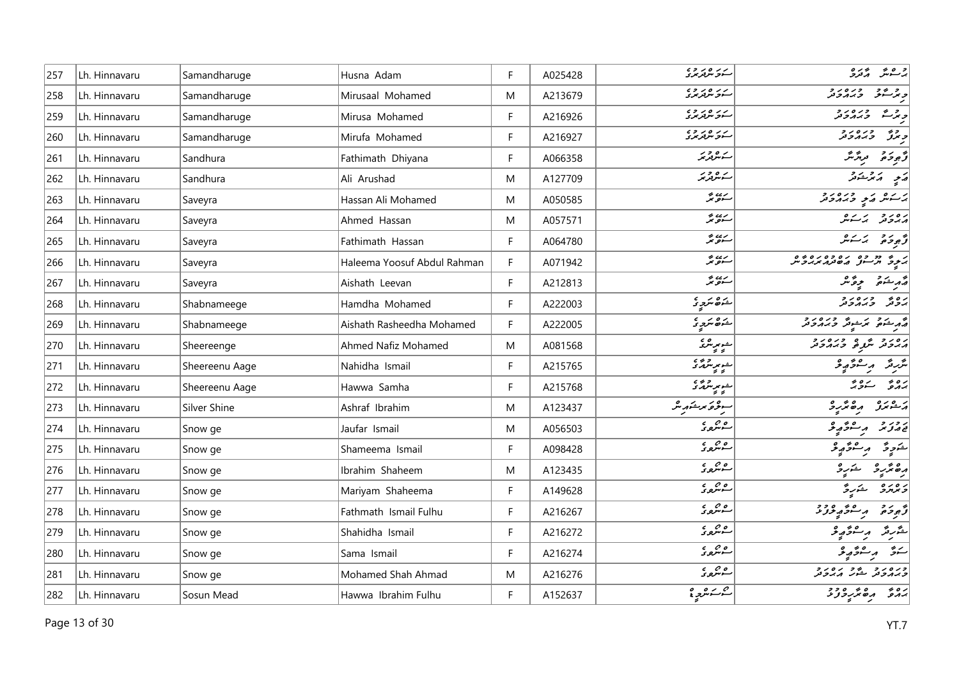| 257 | Lh. Hinnavaru | Samandharuge   | Husna Adam                  | F  | A025428 | ے پر ۱۵ پر وی<br>سنگو سرفر مر <sub>ک</sub> | جراعا مرتر و مرکز                                                                                             |
|-----|---------------|----------------|-----------------------------|----|---------|--------------------------------------------|---------------------------------------------------------------------------------------------------------------|
| 258 | Lh. Hinnavaru | Samandharuge   | Mirusaal Mohamed            | M  | A213679 | ے پر 2 پر 2 پ                              | ى بۇ شەمۇ<br>و ر ه ر د<br>تر پر ژنر                                                                           |
| 259 | Lh. Hinnavaru | Samandharuge   | Mirusa Mohamed              | F. | A216926 | ے پر ۱۵ پر وی<br>سنگ سرلگریمری             | وبر مصرور                                                                                                     |
| 260 | Lh. Hinnavaru | Samandharuge   | Mirufa Mohamed              | F  | A216927 | ے پر 2 پر 2 پ                              | حر پر ژ<br>و رە ر د<br>تر پر تر تر                                                                            |
| 261 | Lh. Hinnavaru | Sandhura       | Fathimath Dhiyana           | F  | A066358 | ر پەھ <sub>ر</sub> تىر                     | وٌمودَهُ بِرِمُرٌ مُرَ                                                                                        |
| 262 | Lh. Hinnavaru | Sandhura       | Ali Arushad                 | M  | A127709 | ئەمىر پىرىر                                | پر په پر پر د                                                                                                 |
| 263 | Lh. Hinnavaru | Saveyra        | Hassan Ali Mohamed          | M  | A050585 | ر ن پر<br>سوی نئر                          | بر کامل کامل در در د                                                                                          |
| 264 | Lh. Hinnavaru | Saveyra        | Ahmed Hassan                | M  | A057571 | ر ، ،<br>سنوگانو                           | رەرد برخش                                                                                                     |
| 265 | Lh. Hinnavaru | Saveyra        | Fathimath Hassan            | F  | A064780 | ر ، ،<br>سنوگانو                           | ق بوجو برسك                                                                                                   |
| 266 | Lh. Hinnavaru | Saveyra        | Haleema Yoosuf Abdul Rahman | F. | A071942 | ر ،، پ<br>سوء س                            |                                                                                                               |
| 267 | Lh. Hinnavaru | Saveyra        | Aishath Leevan              | F  | A212813 | ر پر پر<br>سوه بو                          | وكرمشكم ومحيا                                                                                                 |
| 268 | Lh. Hinnavaru | Shabnameege    | Hamdha Mohamed              | F  | A222003 | ے ک <i>ے سرح ک</i>                         | رەپ درەرد                                                                                                     |
| 269 | Lh. Hinnavaru | Shabnameege    | Aishath Rasheedha Mohamed   | F  | A222005 | ے ک <i>ے سرچ</i> کی                        | أمر و المر المر المسلم المركز المركز المركز المركز المركز المركز المركز المركز المركز المركز المركز المركز ال |
| 270 | Lh. Hinnavaru | Sheereenge     | Ahmed Nafiz Mohamed         | M  | A081568 | ا <sub>ڪو مور</sub> چو<br>ڪ                | رەر د شرە دىرەر د                                                                                             |
| 271 | Lh. Hinnavaru | Sheereenu Aage | Nahidha Ismail              | F  | A215765 | ا در ده ده ده<br>در سر مرد د               | شريقه وبالمحصوفة                                                                                              |
| 272 | Lh. Hinnavaru | Sheereenu Aage | Hawwa Samha                 | F  | A215768 | اڪوبريٽري<br>ڪ                             | رە ئەرە                                                                                                       |
| 273 | Lh. Hinnavaru | Silver Shine   | Ashraf Ibrahim              | M  | A123437 | سوۋە پرىشەر بىر                            | ىر شەندى <sub>ۋ</sub><br>دە ئەرد                                                                              |
| 274 | Lh. Hinnavaru | Snow ge        | Jaufar Ismail               | M  | A056503 | <u>ه چې ۽</u>                              | يے پروژ پر شرگر کو                                                                                            |
| 275 | Lh. Hinnavaru | Snow ge        | Shameema Ismail             | F. | A098428 | مەشھەي                                     | ەرسۇئەبى<br>ڪو <i>و</i>                                                                                       |
| 276 | Lh. Hinnavaru | Snow ge        | Ibrahim Shaheem             | M  | A123435 | <u>ه چې پ</u>                              | ە ھەترىر <sup>ە</sup><br>ے کرو                                                                                |
| 277 | Lh. Hinnavaru | Snow ge        | Mariyam Shaheema            | F  | A149628 | <u>ه چې پ</u>                              | ر ه ر ه<br><del>و</del> بودرو<br>شەرگە                                                                        |
| 278 | Lh. Hinnavaru | Snow ge        | Fathmath Ismail Fulhu       | F  | A216267 | ه چې <sub>پ</sub> ه<br>سر مر <sub>وک</sub> | ژُورَهُ دِ شَرُّدٍ وَدِ                                                                                       |
| 279 | Lh. Hinnavaru | Snow ge        | Shahidha Ismail             | F  | A216272 | <u>ه چې پ</u>                              | شرىق بەستۇمۇ                                                                                                  |
| 280 | Lh. Hinnavaru | Snow ge        | Sama Ismail                 | F. | A216274 | ه چې ،<br>سومبرو <sub>ک</sub>              | أينق وستوجدنى                                                                                                 |
| 281 | Lh. Hinnavaru | Snow ge        | Mohamed Shah Ahmad          | M  | A216276 | ه م <sub>م</sub> ره و                      | ورەر و شەور رەر و                                                                                             |
| 282 | Lh. Hinnavaru | Sosun Mead     | Hawwa Ibrahim Fulhu         | F  | A152637 | <u>ش ئەرەپ ۋ</u>                           | גם 200 בכבר<br>גבל בסתיבצע                                                                                    |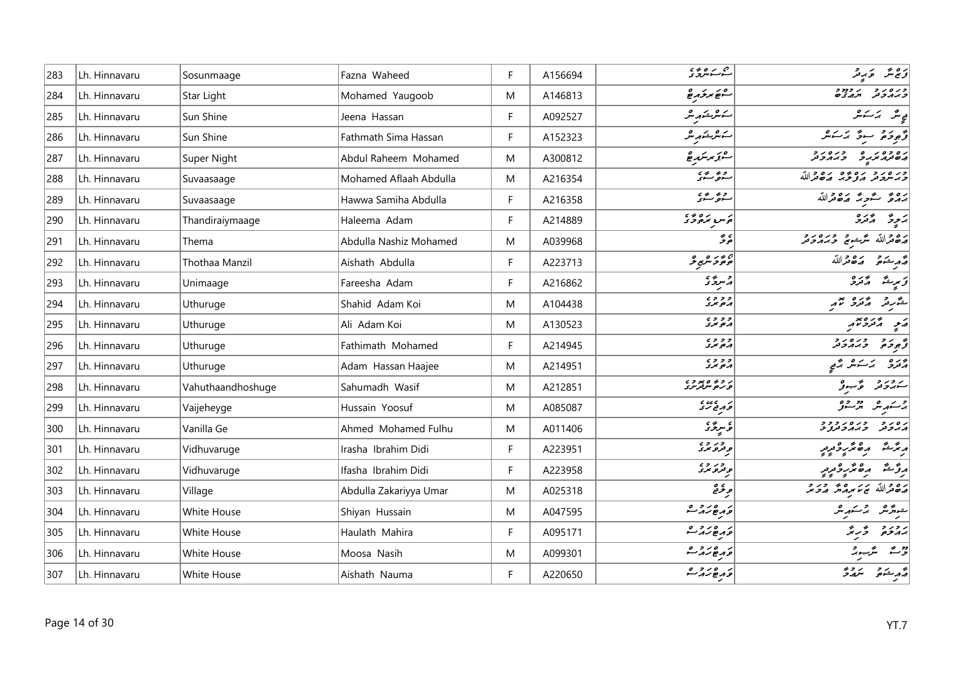| 283 | Lh. Hinnavaru | Sosunmaage        | Fazna Waheed           | F         | A156694 | <u>م ئەشرىرى</u>                        | وَجْسٌ وَرِمْرُ                                                                                       |
|-----|---------------|-------------------|------------------------|-----------|---------|-----------------------------------------|-------------------------------------------------------------------------------------------------------|
| 284 | Lh. Hinnavaru | Star Light        | Mohamed Yaugoob        | M         | A146813 |                                         | כנסני נפרד                                                                                            |
| 285 | Lh. Hinnavaru | Sun Shine         | Jeena Hassan           | F         | A092527 | سەن <sub>ى</sub> رىشە <sub>مە</sub> بىر | يوپىگە ئەسكىلى                                                                                        |
| 286 | Lh. Hinnavaru | Sun Shine         | Fathmath Sima Hassan   | F         | A152323 | ر<br>سەنگە شەمەر بىر                    | قەددە سوۋېمىسى                                                                                        |
| 287 | Lh. Hinnavaru | Super Night       | Abdul Raheem Mohamed   | ${\sf M}$ | A300812 | <u>شوَ بريتر م</u>                      | נסכסנגס כנסנב<br>גשנגות ביתכת                                                                         |
| 288 | Lh. Hinnavaru | Suvaasaage        | Mohamed Aflaah Abdulla | ${\sf M}$ | A216354 | <u>حرڅو ځوي</u>                         | ورەرو رەپە رەۋالله                                                                                    |
| 289 | Lh. Hinnavaru | Suvaasaage        | Hawwa Samiha Abdulla   | F         | A216358 | <u>ر ژه په پ</u>                        | بروء كوبة رووالله                                                                                     |
| 290 | Lh. Hinnavaru | Thandiraiymaage   | Haleema Adam           | F         | A214889 | ئۆسرە ئىرە دى                           | أيزود أردره                                                                                           |
| 291 | Lh. Hinnavaru | Thema             | Abdulla Nashiz Mohamed | ${\sf M}$ | A039968 | ې بو<br>حوا                             | ره و الله سر و وره ر و<br>مصر الله سر و در مرد تر                                                     |
| 292 | Lh. Hinnavaru | Thothaa Manzil    | Aishath Abdulla        | F         | A223713 | جو بر ج م<br>  حر ج حر جر بر حر         | م مشور مقدالله                                                                                        |
| 293 | Lh. Hinnavaru | Unimaage          | Fareesha Adam          | F         | A216862 | و په په په<br>د سرچ د                   | كوسيستش المرترو                                                                                       |
| 294 | Lh. Hinnavaru | Uthuruge          | Shahid Adam Koi        | ${\sf M}$ | A104438 | د د د پ<br>پره پور                      | ش و وره بور<br>شریر ملار بور                                                                          |
| 295 | Lh. Hinnavaru | Uthuruge          | Ali Adam Koi           | ${\sf M}$ | A130523 | د د د پ<br>پره پور                      | $\begin{array}{cc}\n\mathbf{x} \circ \mathbf{y} & \mathbf{y} \\ \mathbf{y} & \mathbf{y}\n\end{array}$ |
| 296 | Lh. Hinnavaru | Uthuruge          | Fathimath Mohamed      | F         | A214945 | د د د پ<br>پره پور                      | و ده دره دره                                                                                          |
| 297 | Lh. Hinnavaru | Uthuruge          | Adam Hassan Haajee     | M         | A214951 | د د د پ<br>پره مرد                      | أمرده المركب مراقبي                                                                                   |
| 298 | Lh. Hinnavaru | Vahuthaandhoshuge | Sahumadh Wasif         | M         | A212851 | ر و د ه پر و ،<br>و ره سربر در          | مدرور وسو                                                                                             |
| 299 | Lh. Hinnavaru | Vaijeheyge        | Hussain Yoosuf         | M         | A085087 | ر مەن يە<br>قەم قىرى                    | پر سے مرحمد سر جرم                                                                                    |
| 300 | Lh. Hinnavaru | Vanilla Ge        | Ahmed Mohamed Fulhu    | M         | A011406 | ء سرچء<br> حس <sub>ب</sub> پڙي          | ر و ر د در و د و و و<br>  پرېدونر با و ډېر و ترونو                                                    |
| 301 | Lh. Hinnavaru | Vidhuvaruge       | Irasha Ibrahim Didi    | F         | A223951 | و د و ،<br>و ترو برد                    | ويمث وهندومرمر                                                                                        |
| 302 | Lh. Hinnavaru | Vidhuvaruge       | Ifasha Ibrahim Didi    | F         | A223958 | و د و ء<br>و ترو بر د                   | رومة رەئزرورىر                                                                                        |
| 303 | Lh. Hinnavaru | Village           | Abdulla Zakariyya Umar | M         | A025318 | حيوهي                                   | م صحرالله تم تو مرکز مرد م                                                                            |
| 304 | Lh. Hinnavaru | White House       | Shiyan Hussain         | M         | A047595 | ئەرەبەر م                               | خەرگىش كى ئىكتەرلىكى                                                                                  |
| 305 | Lh. Hinnavaru | White House       | Haulath Mahira         | F         | A095171 | ئەرەبەر م                               | رورو ورثر                                                                                             |
| 306 | Lh. Hinnavaru | White House       | Moosa Nasih            | M         | A099301 | ئەرەبەر م                               | رح مگر ہے۔                                                                                            |
| 307 | Lh. Hinnavaru | White House       | Aishath Nauma          | F         | A220650 | ۇرغ ئەرم                                | وكرد شكوح المروح                                                                                      |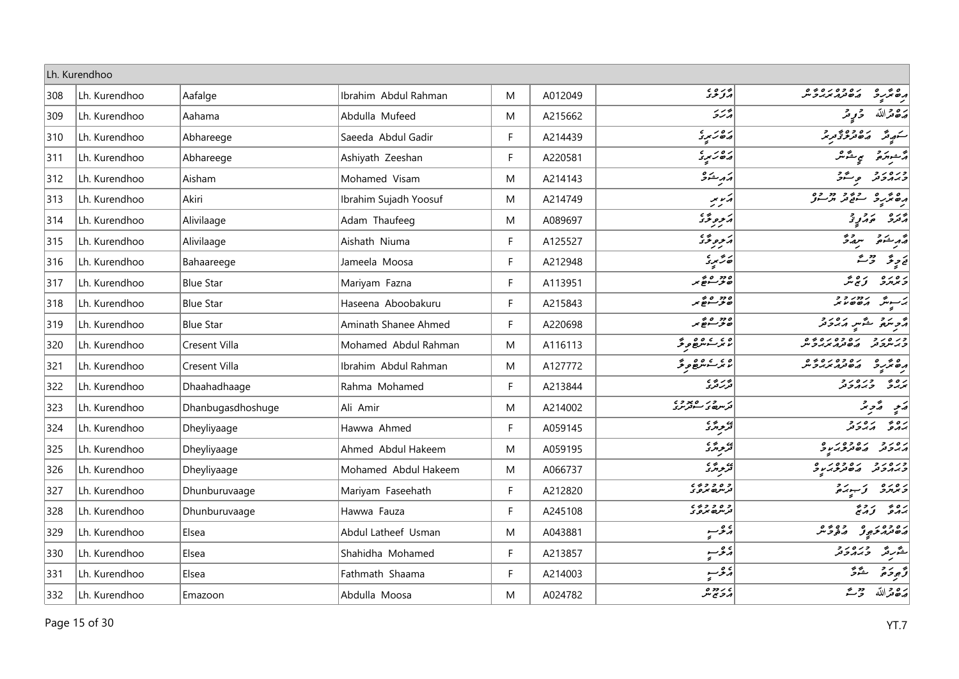|     | Lh. Kurendhoo |                   |                       |           |         |                                          |                                                                                                     |
|-----|---------------|-------------------|-----------------------|-----------|---------|------------------------------------------|-----------------------------------------------------------------------------------------------------|
| 308 | Lh. Kurendhoo | Aafalge           | Ibrahim Abdul Rahman  | ${\sf M}$ | A012049 | پور ه ،<br>پروتون                        | ر ٥ ر ٥ ر ٥ ر ٥<br>۵ ر ۵ تورم بور تر س<br>ەرھەترىرى<br>ر                                            |
| 309 | Lh. Kurendhoo | Aahama            | Abdulla Mufeed        | M         | A215662 | پزر                                      | رە دالله در د                                                                                       |
| 310 | Lh. Kurendhoo | Abhareege         | Saeeda Abdul Gadir    | F         | A214439 | برەر<br>مەسىرى                           |                                                                                                     |
| 311 | Lh. Kurendhoo | Abhareege         | Ashiyath Zeeshan      | F         | A220581 | ره رسې<br>پره رسميږ                      | أتر شورتر تم سم مشر من الله الله عليه الله الله عليه الله الله عليه الله عليه الله الله عليه الله ا |
| 312 | Lh. Kurendhoo | Aisham            | Mohamed Visam         | M         | A214143 | برٔ د شو                                 | ورەرو بەش                                                                                           |
| 313 | Lh. Kurendhoo | Akiri             | Ibrahim Sujadh Yoosuf | M         | A214749 | وسماعه                                   | ם מים במיכחים<br>גיסולקייב היפול וקריינ                                                             |
| 314 | Lh. Kurendhoo | Alivilaage        | Adam Thaufeeg         | M         | A089697 | لەَموەمۇر                                | وره رو د<br>مرکز م <i>وم</i> نړی                                                                    |
| 315 | Lh. Kurendhoo | Alivilaage        | Aishath Niuma         | F         | A125527 | ر<br>د نوه د د                           | הוגים תגר                                                                                           |
| 316 | Lh. Kurendhoo | Bahaareege        | Jameela Moosa         | F         | A212948 | ر و محر<br>نه تر مور                     | يَا حِرِ حَمْدُ مِنْ حَمْدِ حَمْدِ مِنْ                                                             |
| 317 | Lh. Kurendhoo | <b>Blue Star</b>  | Mariyam Fazna         | F         | A113951 | ە دەھەير                                 | ر ه ر ه<br>د بربرگ<br>تر بح مگر                                                                     |
| 318 | Lh. Kurendhoo | <b>Blue Star</b>  | Haseena Aboobakuru    | F.        | A215843 | ە دەھەير                                 | برسوش مصمعه                                                                                         |
| 319 | Lh. Kurendhoo | <b>Blue Star</b>  | Aminath Shanee Ahmed  | F.        | A220698 | ە دورە ئەير                              | أأوسم كشبر أأورد                                                                                    |
| 320 | Lh. Kurendhoo | Cresent Villa     | Mohamed Abdul Rahman  | M         | A116113 | ە بىر يەرە <sub>م</sub> وقر              | ور ه ر و پر ره وه ر ه ده ه<br><del>و</del> بر سر <i>و د په ه</i> تر بر بر سر                        |
| 321 | Lh. Kurendhoo | Cresent Villa     | Ibrahim Abdul Rahman  | M         | A127772 | ە ئەسەبى <i>ر ھ</i> وقە                  | ر ٥ ۶ ٥ ٥ ٥ ٥ ٠<br>پر <i>۲۵ تو ۹ بر بر</i> ژ س<br>ەر ھەتمەر 2<br>ب                                  |
| 322 | Lh. Kurendhoo | Dhaahadhaage      | Rahma Mohamed         | F         | A213844 | یز بر بر بر<br>توبر توپی                 | ره دره دره<br>بربرو وبرمرد                                                                          |
| 323 | Lh. Kurendhoo | Dhanbugasdhoshuge | Ali Amir              | M         | A214002 | ر<br>ترسرچ <sub>کی</sub> سوتر <i>سری</i> | أميس مدوند                                                                                          |
| 324 | Lh. Kurendhoo | Dheyliyaage       | Hawwa Ahmed           | F.        | A059145 | ے<br>تروبڑی                              | ره پره رو<br>براره کربرونر                                                                          |
| 325 | Lh. Kurendhoo | Dheyliyaage       | Ahmed Abdul Hakeem    | M         | A059195 | ر<br>تر پور د                            | ג סג כ ג ס כ ס ג ס כ                                                                                |
| 326 | Lh. Kurendhoo | Dheyliyaage       | Mohamed Abdul Hakeem  | M         | A066737 | ر دي.<br>  تر پر بر د                    | وره روح ده وه ره<br>ح برمرد تر صحر دیگر                                                             |
| 327 | Lh. Kurendhoo | Dhunburuvaage     | Mariyam Faseehath     | F         | A212820 | و ه و و د د<br>ترس د برو د               | وبودو وكبيدة                                                                                        |
| 328 | Lh. Kurendhoo | Dhunburuvaage     | Hawwa Fauza           | F         | A245108 | و ه و و د »<br>ترس پرو د                 | 571.501                                                                                             |
| 329 | Lh. Kurendhoo | Elsea             | Abdul Latheef Usman   | M         | A043881 | اتچوب                                    | גם כסגם כסגם<br>הסתה כתב התכת                                                                       |
| 330 | Lh. Kurendhoo | Elsea             | Shahidha Mohamed      | F         | A213857 | ې په په په                               |                                                                                                     |
| 331 | Lh. Kurendhoo | Elsea             | Fathmath Shaama       | F.        | A214003 | اتھو۔                                    | ا تو بر د<br>ارتبو څخه                                                                              |
| 332 | Lh. Kurendhoo | Emazoon           | Abdulla Moosa         | M         | A024782 | ې ر دد ه<br>د د م س                      | مَدْهِ قَرْاللّه حَرْثَة                                                                            |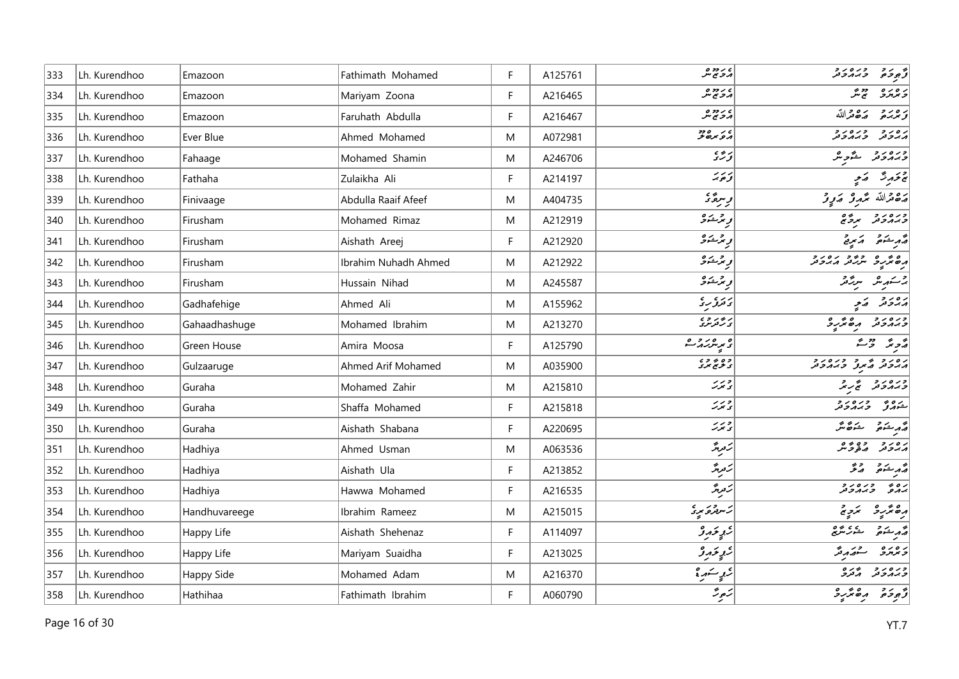| 333 | Lh. Kurendhoo | Emazoon       | Fathimath Mohamed         | F | A125761 | ) پر دو مر<br>امر دسمبر           | و ر ه ر د<br>تر پر ژ تر<br>ا تۇ بو ئەم                  |
|-----|---------------|---------------|---------------------------|---|---------|-----------------------------------|---------------------------------------------------------|
| 334 | Lh. Kurendhoo | Emazoon       | Mariyam Zoona             | F | A216465 | ې بر دو ه<br>مرخ مگ               | حق متر<br>ر ه ر ه                                       |
| 335 | Lh. Kurendhoo | Emazoon       | Faruhath Abdulla          | F | A216467 | پر دو چر<br>  پر <del>چ</del> چر  | رەرد رەمزاللە                                           |
| 336 | Lh. Kurendhoo | Ever Blue     | Ahmed Mohamed             | M | A072981 | ی رے دو<br>دری عرص <del>م</del> ر | נסנכ כנסנכ<br>גגבע כגהכת                                |
| 337 | Lh. Kurendhoo | Fahaage       | Mohamed Shamin            | M | A246706 | پر پر پر<br>  توگری               | ورەرو ھۇرس                                              |
| 338 | Lh. Kurendhoo | Fathaha       | Zulaikha Ali              | F | A214197 | ۇەبر                              | ة دَرِيْرَ مَرِ                                         |
| 339 | Lh. Kurendhoo | Finivaage     | Abdulla Raaif Afeef       | M | A404735 | وسرءٌ کا                          | رە چەللە ئىرگە ئەر                                      |
| 340 | Lh. Kurendhoo | Firusham      | Mohamed Rimaz             | M | A212919 | رېږېده                            | כנסנכ תבים<br>במהכת תבים                                |
| 341 | Lh. Kurendhoo | Firusham      | Aishath Areej             | F | A212920 | ويرتشو 2                          |                                                         |
| 342 | Lh. Kurendhoo | Firusham      | Ibrahim Nuhadh Ahmed      | M | A212922 | و پرېتونو                         | ם מים כמב גם גב<br>גשי <i>ת גב</i> יי <i>גיבת ה</i> גבת |
| 343 | Lh. Kurendhoo | Firusham      | Hussain Nihad             | M | A245587 | ويرتشو 2                          | 2 سەر بىر س <i>ورگە</i> ر                               |
| 344 | Lh. Kurendhoo | Gadhafehige   | Ahmed Ali                 | M | A155962 | ئەتترىق سرى                       | أرور و المستحقيقية المستح                               |
| 345 | Lh. Kurendhoo | Gahaadhashuge | Mohamed Ibrahim           | M | A213270 | ر بر ر و ،<br>ی رکوروی            | כנסני נפילים                                            |
| 346 | Lh. Kurendhoo | Green House   | Amira Moosa               | F | A125790 | ە بەي <i>رىر ۋ</i> ر              | أوجانكم المحاسبة                                        |
| 347 | Lh. Kurendhoo | Gulzaaruge    | <b>Ahmed Arif Mohamed</b> | M | A035900 | و ه پر و ،<br>د نومځ مرد          | رور و محموق وره رو                                      |
| 348 | Lh. Kurendhoo | Guraha        | Mohamed Zahir             | M | A215810 | د بر بر<br>بر برگ                 |                                                         |
| 349 | Lh. Kurendhoo | Guraha        | Shaffa Mohamed            | F | A215818 | ح مربر<br>مح <b>س</b> مربر        | شەھ درەرد<br>شەھۇ جەمجەتر                               |
| 350 | Lh. Kurendhoo | Guraha        | Aishath Shabana           | F | A220695 | ح مر پر<br>ئ                      | مەر شىم ئىقىشى                                          |
| 351 | Lh. Kurendhoo | Hadhiya       | Ahmed Usman               | M | A063536 | ترمرمزّ                           | رەرد دەپرە                                              |
| 352 | Lh. Kurendhoo | Hadhiya       | Aishath Ula               | F | A213852 | ئە تەرەگە<br>م                    | و در در درگر<br>مرد شوه مرگر                            |
| 353 | Lh. Kurendhoo | Hadhiya       | Hawwa Mohamed             | F | A216535 | ر درگر                            | ره وره رو<br>پهرو وبروتر                                |
| 354 | Lh. Kurendhoo | Handhuvareege | Ibrahim Rameez            | M | A215015 | ر<br>ئەسىرى كىرى                  | رە ئەر ئەدى                                             |
| 355 | Lh. Kurendhoo | Happy Life    | Aishath Shehenaz          | F | A114097 | ر بو <sub>ت</sub> و بر و          | شەر ئەرى<br>و مر شوه<br>مر                              |
| 356 | Lh. Kurendhoo | Happy Life    | Mariyam Suaidha           | F | A213025 | <u>ې په ځه يې </u>                | وبروره مستهدير                                          |
| 357 | Lh. Kurendhoo | Happy Side    | Mohamed Adam              | M | A216370 | ر<br>مرب <sub>و</sub> سنهر ؟      | כנסנכ שנס<br><i>כג</i> ובב ובבב                         |
| 358 | Lh. Kurendhoo | Hathihaa      | Fathimath Ibrahim         | F | A060790 | ئە بۇر                            | توجدة مقترح                                             |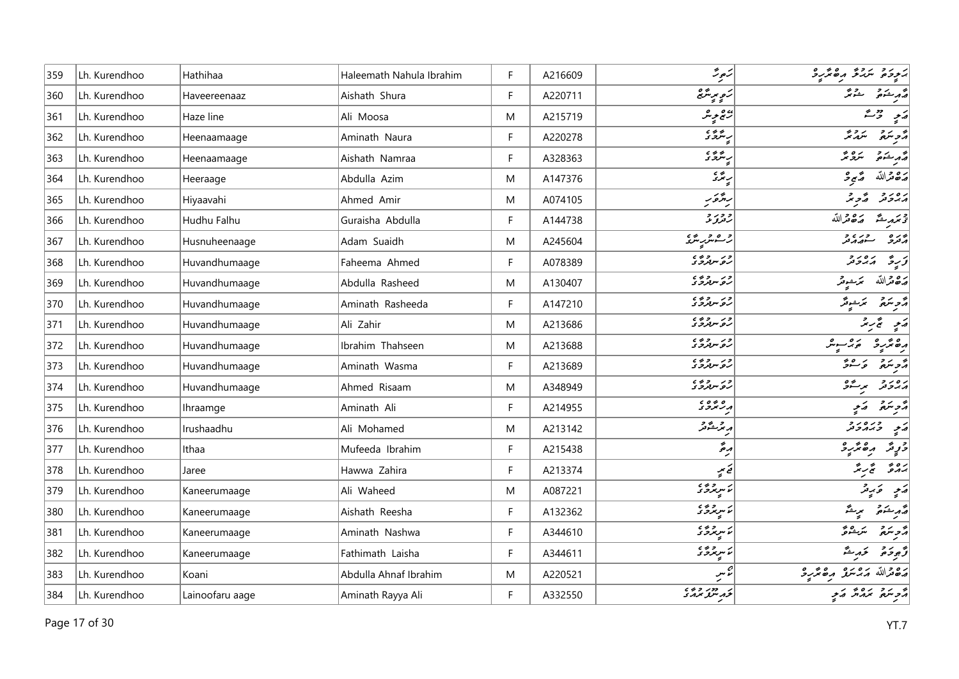| 359 | Lh. Kurendhoo | Hathihaa        | Haleemath Nahula Ibrahim | F. | A216609 | رسمور                         | بَرْدِدَةً سَهْدُ وَمُعَرَّرِدً           |
|-----|---------------|-----------------|--------------------------|----|---------|-------------------------------|-------------------------------------------|
| 360 | Lh. Kurendhoo | Haveereenaaz    | Aishath Shura            | F  | A220711 | ر<br>ئەربىر يىزى              | و<br>مگر شوه شور                          |
| 361 | Lh. Kurendhoo | Haze line       | Ali Moosa                | M  | A215719 | ا شع په موسر<br>              | أريموا المحر المتعم                       |
| 362 | Lh. Kurendhoo | Heenaamaage     | Aminath Naura            | F. | A220278 | ر پېژونو<br>ئو                | أرمز<br>سرح پڑ                            |
| 363 | Lh. Kurendhoo | Heenaamaage     | Aishath Namraa           | F  | A328363 | ر پژو <sup>ي</sup>            | وكرمشكم الترويجر                          |
| 364 | Lh. Kurendhoo | Heeraage        | Abdulla Azim             | M  | A147376 | ر پڑی<br>پ                    | أَرَّةٍ مِّرَاللَّهُ مَّ مِّ عِ           |
| 365 | Lh. Kurendhoo | Hiyaavahi       | Ahmed Amir               | M  | A074105 | رېژوَر                        | גפיב הבב                                  |
| 366 | Lh. Kurendhoo | Hudhu Falhu     | Guraisha Abdulla         | F  | A144738 | 2 ترتر 2                      | ترتمد شه مك قرالله                        |
| 367 | Lh. Kurendhoo | Husnuheenaage   | Adam Suaidh              | M  | A245604 | 2 مەش <i>رى</i> رىتىگە        | بوره ورود<br>م <i>د</i> ور سو <i>ړ</i> ور |
| 368 | Lh. Kurendhoo | Huvandhumaage   | Faheema Ahmed            | F  | A078389 | و ر په و ده و<br>رنو سرهرو د  | أورقت أزروجر                              |
| 369 | Lh. Kurendhoo | Huvandhumaage   | Abdulla Rasheed          | M  | A130407 | و ر په وه د<br>رو سربرو د     | مَدْ مَدَّاللَّهُ مَرَسُومَرُ             |
| 370 | Lh. Kurendhoo | Huvandhumaage   | Aminath Rasheeda         | F  | A147210 | و ر د وه ،<br>ره سربرو د      | مەھرىكى ئىم ئىشىقە                        |
| 371 | Lh. Kurendhoo | Huvandhumaage   | Ali Zahir                | M  | A213686 | و ر په و د و<br>رن سربرو د    | $\frac{2}{3}$ $\frac{2}{3}$ $\frac{2}{3}$ |
| 372 | Lh. Kurendhoo | Huvandhumaage   | Ibrahim Thahseen         | M  | A213688 | و ر په دوه و<br>رو سربرو د    |                                           |
| 373 | Lh. Kurendhoo | Huvandhumaage   | Aminath Wasma            | F  | A213689 | ور پروژه<br>روس پروژ          | أأدجن وأسادة                              |
| 374 | Lh. Kurendhoo | Huvandhumaage   | Ahmed Risaam             | M  | A348949 | و ر پورې<br>روس پروگ          | رەرد برگو                                 |
| 375 | Lh. Kurendhoo | Ihraamge        | Aminath Ali              | F  | A214955 | ە 29 مۇھ ي                    | أزجر سنتعرض وكالمحير                      |
| 376 | Lh. Kurendhoo | Irushaadhu      | Ali Mohamed              | M  | A213142 | ېر تر ش <sup>ی</sup> ور       | أيمو ورەرو                                |
| 377 | Lh. Kurendhoo | Ithaa           | Mufeeda Ibrahim          | F  | A215438 | برځ                           | ح و مگر<br>ح<br>دە ئەرد                   |
| 378 | Lh. Kurendhoo | Jaree           | Hawwa Zahira             | F  | A213374 | ر<br>قع مي                    | $rac{20}{20}$<br>پچ پر پټر<br>پ           |
| 379 | Lh. Kurendhoo | Kaneerumaage    | Ali Waheed               | M  | A087221 |                               | وكمني وكروكر                              |
| 380 | Lh. Kurendhoo | Kaneerumaage    | Aishath Reesha           | F  | A132362 | ر سرچوي<br>تا سرچري           | و ديدة المريدة<br>مريدة المريدة           |
| 381 | Lh. Kurendhoo | Kaneerumaage    | Aminath Nashwa           | F  | A344610 | ر<br>مأسو پر چ <sup>ر</sup> ی | أثرم سيشرق                                |
| 382 | Lh. Kurendhoo | Kaneerumaage    | Fathimath Laisha         | F  | A344611 | ر<br>مأسو پر <del>د</del> د   | وتجوده ومرث                               |
| 383 | Lh. Kurendhoo | Koani           | Abdulla Ahnaf Ibrahim    | M  | A220521 | القميبه                       | رەداللە ئەمىرو مەھكرو                     |
| 384 | Lh. Kurendhoo | Lainoofaru aage | Aminath Rayya Ali        | F. | A332550 | تەرەپر دەر<br>تەرىپى تەرى     | ו ביתה יום בית                            |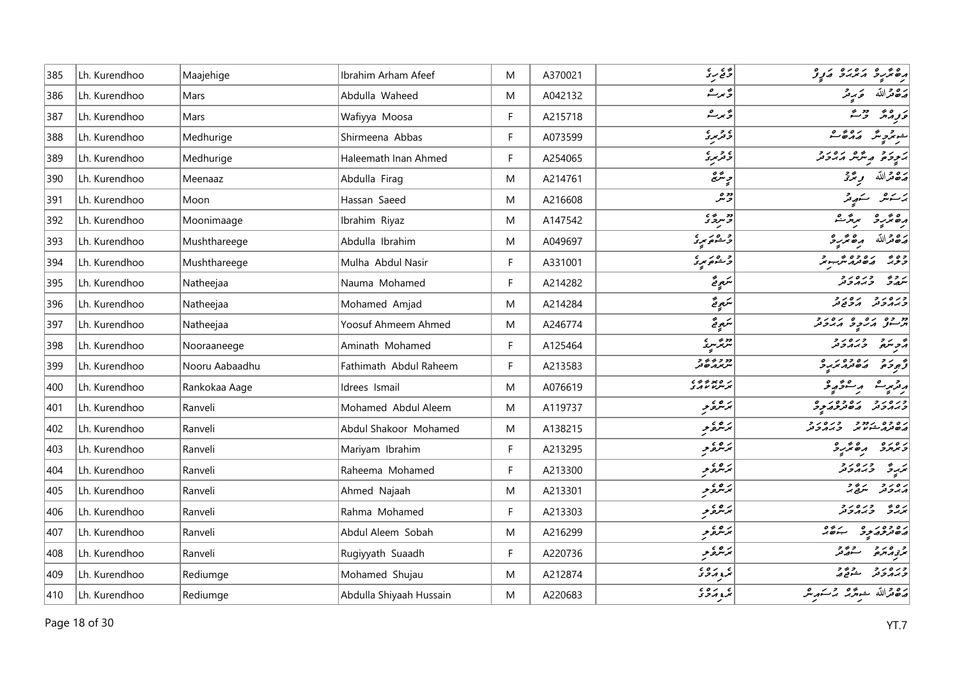| 385 | Lh. Kurendhoo | Maajehige      | Ibrahim Arham Afeef     | M  | A370021 | پر ہ<br>حرم سر تر                            | ופת כ גיגי הני                                |
|-----|---------------|----------------|-------------------------|----|---------|----------------------------------------------|-----------------------------------------------|
| 386 | Lh. Kurendhoo | Mars           | Abdulla Waheed          | M  | A042132 | ۇ بر م                                       | بره والله كربرد                               |
| 387 | Lh. Kurendhoo | <b>Mars</b>    | Wafiyya Moosa           | F. | A215718 | ۇ بر م                                       | وره په دون                                    |
| 388 | Lh. Kurendhoo | Medhurige      | Shirmeena Abbas         | F. | A073599 | د تر سر بر                                   | شوپرو شهره ده ده ک                            |
| 389 | Lh. Kurendhoo | Medhurige      | Haleemath Inan Ahmed    | F. | A254065 | ه د د ه<br>د ترمړ                            | ر در ده در پره در در د                        |
| 390 | Lh. Kurendhoo | Meenaaz        | Abdulla Firag           | M  | A214761 | جريثي                                        | رەم قىراللە م <sub>و</sub> متىتى              |
| 391 | Lh. Kurendhoo | Moon           | Hassan Saeed            | M  | A216608 | دد ه                                         | برسماها السكرونر                              |
| 392 | Lh. Kurendhoo | Moonimaage     | Ibrahim Riyaz           | M  | A147542 | دو په په<br>د سرچ د                          | رەترىر بىرتر                                  |
| 393 | Lh. Kurendhoo | Mushthareege   | Abdulla Ibrahim         | M  | A049697 | <br> ترش <sup>0</sup> توسر                   | رە قراللە مەھمىر                              |
| 394 | Lh. Kurendhoo | Mushthareege   | Mulha Abdul Nasir       | F. | A331001 | د شور سر م<br>مشور سر                        |                                               |
| 395 | Lh. Kurendhoo | Natheejaa      | Nauma Mohamed           | F  | A214282 | سكعجي                                        | ر د د دره ر د<br>سمدگر د بر د تر              |
| 396 | Lh. Kurendhoo | Natheejaa      | Mohamed Amjad           | M  | A214284 | سكعجي                                        | כנסנכ נסנכ<br><i>כג</i> מכנ <sub>ט</sub> מכשנ |
| 397 | Lh. Kurendhoo | Natheejaa      | Yoosuf Ahmeem Ahmed     | M  | A246774 | سكعجي                                        | מ כם גם כם גם גבע                             |
| 398 | Lh. Kurendhoo | Nooraaneege    | Aminath Mohamed         | F  | A125464 | بز پژ <sub>مبرد</sub><br>سربر س <sub>ر</sub> | أروسكم وره دو                                 |
| 399 | Lh. Kurendhoo | Nooru Aabaadhu | Fathimath Abdul Raheem  | F  | A213583 | دد د ه ه د<br>سربر بر تص تعر                 | ومجوجو مصرمه مرمر                             |
| 400 | Lh. Kurendhoo | Rankokaa Aage  | Idrees Ismail           | M  | A076619 | ر ۵ پر ۶ پر ء<br>برس را ر                    | رىرىيە رىشۇربۇ                                |
| 401 | Lh. Kurendhoo | Ranveli        | Mohamed Abdul Aleem     | M  | A119737 | برەء                                         | כנסני נספסנים<br>כממכת מסתי <i>במיכ</i> ל     |
| 402 | Lh. Kurendhoo | Ranveli        | Abdul Shakoor Mohamed   | M  | A138215 | برەء                                         | ره وه ردد و دره رو<br>پره ترپر شونو کرد کر    |
| 403 | Lh. Kurendhoo | Ranveli        | Mariyam Ibrahim         | F  | A213295 | ابرقونج                                      | במתכ תפתיב                                    |
| 404 | Lh. Kurendhoo | Ranveli        | Raheema Mohamed         | F. | A213300 | برجرة مج                                     | و ره ر و<br><i>د ب</i> رگرفر<br>ىئەرىخ        |
| 405 | Lh. Kurendhoo | Ranveli        | Ahmed Najaah            | M  | A213301 | بخر حرمح مجر                                 | رەرو روو                                      |
| 406 | Lh. Kurendhoo | Ranveli        | Rahma Mohamed           | F  | A213303 | برەء                                         | و ره ر و<br><i>و پر</i> و تر<br>برەپچ         |
| 407 | Lh. Kurendhoo | Ranveli        | Abdul Aleem Sobah       | M  | A216299 | ابريقومر                                     | ر ه وه ر وه<br>ماه مرحمه پر<br>$25 -$         |
| 408 | Lh. Kurendhoo | Ranveli        | Rugiyyath Suaadh        | F  | A220736 | برەء                                         | و ورو و ووو<br>بر <sub>و</sub> مرکز مستورگر   |
| 409 | Lh. Kurendhoo | Rediumge       | Mohamed Shujau          | M  | A212874 | ې ده ،<br>مرد تر د د                         | وره ر و د و و و<br>تربر د پر د شوقے پر        |
| 410 | Lh. Kurendhoo | Rediumge       | Abdulla Shiyaah Hussain | M  | A220683 | ې ده ،<br>مرد تر د د                         | مَصْعَرَ اللَّهُ سُومَّ بِرَ سَوَرِ مِّرَ     |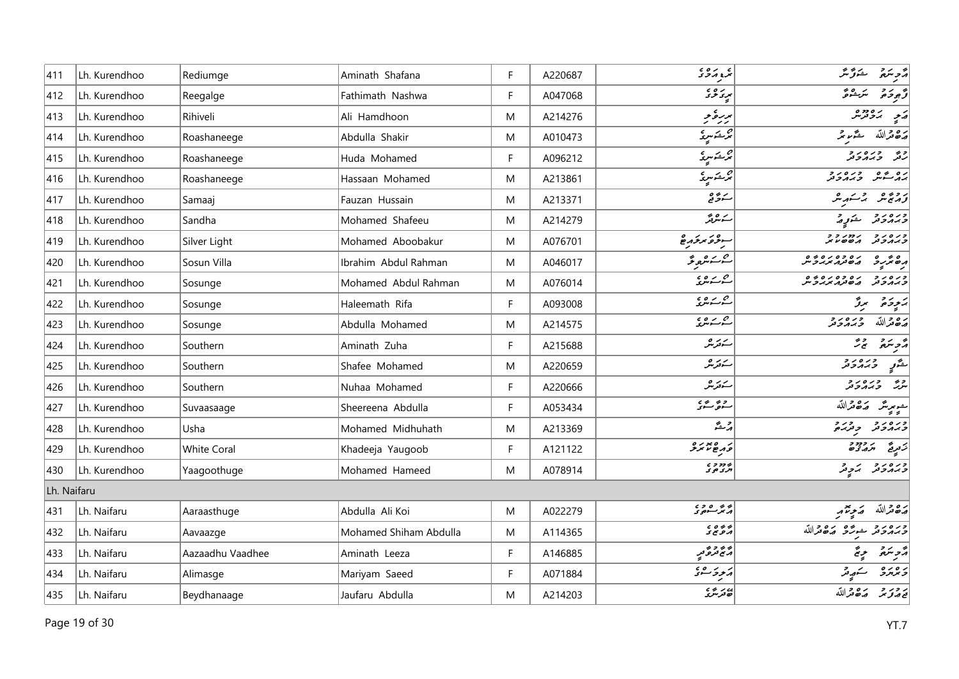| 411         | Lh. Kurendhoo | Rediumge           | Aminath Shafana        | F | A220687 | ې بره ،<br>مربر د د          | مەر يىرى ئىسىنى ئىسى<br>مەسىسى                                |
|-------------|---------------|--------------------|------------------------|---|---------|------------------------------|---------------------------------------------------------------|
| 412         | Lh. Kurendhoo | Reegalge           | Fathimath Nashwa       | F | A047068 | ر ه ه<br>بورگور              | و دو سرشو                                                     |
| 413         | Lh. Kurendhoo | Rihiveli           | Ali Hamdhoon           | M | A214276 | بررءً و                      | أرشح برودوه                                                   |
| 414         | Lh. Kurendhoo | Roashaneege        | Abdulla Shakir         | M | A010473 | لتجريفه يبرع                 | أرَدْ مَرَ اللَّهُ شَمَّ مِرْ                                 |
| 415         | Lh. Kurendhoo | Roashaneege        | Huda Mohamed           | F | A096212 | ترىشە يېرىگە                 | ا دیگر از در در در در این کشتی است.<br>ارزش از در برابر در در |
| 416         | Lh. Kurendhoo | Roashaneege        | Hassaan Mohamed        | M | A213861 | ە<br>ئىرىشەس <sub>ىي</sub> ر | بره شهر وره رو                                                |
| 417         | Lh. Kurendhoo | Samaaj             | Fauzan Hussain         | M | A213371 | ر پره ه                      | زدەم ئەسىر                                                    |
| 418         | Lh. Kurendhoo | Sandha             | Mohamed Shafeeu        | M | A214279 | ئەشرىتر                      | ورەرو شۆرۈ                                                    |
| 419         | Lh. Kurendhoo | Silver Light       | Mohamed Aboobakur      | M | A076701 | سوءَ برخمه ۾                 | 22132 22012                                                   |
| 420         | Lh. Kurendhoo | Sosun Villa        | Ibrahim Abdul Rahman   | M | A046017 | <u>شر سەھرىمى</u>            | ם מים נסכם נספים                                              |
| 421         | Lh. Kurendhoo | Sosunge            | Mohamed Abdul Rahman   | M | A076014 | <u>م ئەيدى</u>               | כנסנכ נסכסנסקס<br>כגמכת מסתמינגכית                            |
| 422         | Lh. Kurendhoo | Sosunge            | Haleemath Rifa         | F | A093008 | <u>مى ئەيدى</u>              | پەيدە ئىباق                                                   |
| 423         | Lh. Kurendhoo | Sosunge            | Abdulla Mohamed        | M | A214575 | جەسەھدى                      | و ر ه ر و<br><i>و ټ</i> رو تر<br>ەھىراللە                     |
| 424         | Lh. Kurendhoo | Southern           | Aminath Zuha           | F | A215688 | سەدرىر                       | و المعرض المحمد المحمد                                        |
| 425         | Lh. Kurendhoo | Southern           | Shafee Mohamed         | M | A220659 | سەتەبىر                      | شَرٌمٍ = 20,000                                               |
| 426         | Lh. Kurendhoo | Southern           | Nuhaa Mohamed          | F | A220666 | سەدىرىش                      | دو وره دو<br>سرگ وبروتو                                       |
| 427         | Lh. Kurendhoo | Suvaasaage         | Sheereena Abdulla      | F | A053434 | 2 ئەھرىسى <i>مى</i>          | شومرينگر - <b>ت</b> ك قترالله                                 |
| 428         | Lh. Kurendhoo | Usha               | Mohamed Midhuhath      | M | A213369 | رژیئه                        | وره د و و د و<br>  <i>و بر و د و و د بر</i> و                 |
| 429         | Lh. Kurendhoo | <b>White Coral</b> | Khadeeja Yaugoob       | F | A121122 | ابر و <del>بدره</del>        | ژورنځ پر دود و                                                |
| 430         | Lh. Kurendhoo | Yaagoothuge        | Mohamed Hameed         | M | A078914 | پر دو د ع<br>پر ژه ي         | כממכת הכת                                                     |
| Lh. Naifaru |               |                    |                        |   |         |                              |                                                               |
| 431         | Lh. Naifaru   | Aaraasthuge        | Abdulla Ali Koi        | M | A022279 | ږ په ده د ،<br>د تر سوه د    | أرجعه الله أرجعهم                                             |
| 432         | Lh. Naifaru   | Aavaazge           | Mohamed Shiham Abdulla | M | A114365 | ۱۵ ۵ ۵ م<br>  آرچ می         | ورەرو بەرى دە دالله                                           |
| 433         | Lh. Naifaru   | Aazaadhu Vaadhee   | Aminath Leeza          | F | A146885 | پر پیچ ترج تعر               | ومحر المراجع المحرج                                           |
| 434         | Lh. Naifaru   | Alimasge           | Mariyam Saeed          | F | A071884 | وسنستر صميح                  | و مرد در د                                                    |
| 435         | Lh. Naifaru   | Beydhanaage        | Jaufaru Abdulla        | M | A214203 | ، در پر د<br>ن ترس           | يرور وكامدالله                                                |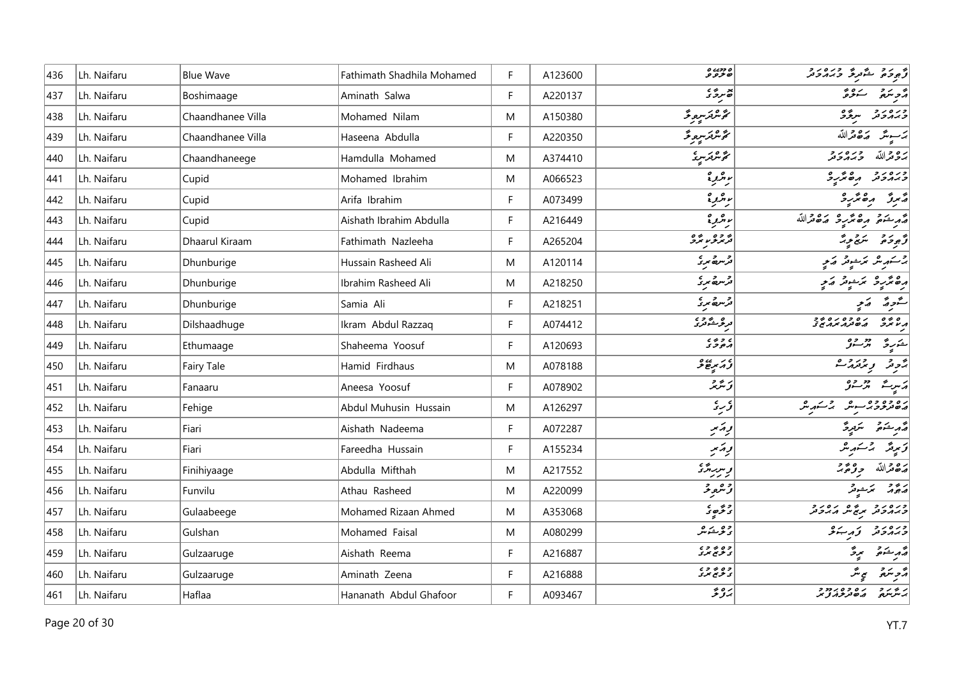| 436 | Lh. Naifaru | <b>Blue Wave</b>  | Fathimath Shadhila Mohamed | F         | A123600 | ه دور، ه<br>ن موړو                             | و و د د شورو در د د د                                |
|-----|-------------|-------------------|----------------------------|-----------|---------|------------------------------------------------|------------------------------------------------------|
| 437 | Lh. Naifaru | Boshimaage        | Aminath Salwa              | F         | A220137 | پر پرې<br>  خامرچري                            | أزويته سنوة                                          |
| 438 | Lh. Naifaru | Chaandhanee Villa | Mohamed Nilam              | M         | A150380 | ى<br>ئۇنىزىئر س <sub>ە</sub> ر                 | ورەر دەرد                                            |
| 439 | Lh. Naifaru | Chaandhanee Villa | Haseena Abdulla            | F         | A220350 | ى<br>ئۇنىزىئەس <u>ر</u> ىر                     | ترسيعْتْه <mark>صَرْهَ مَدْ</mark> اللَّه            |
| 440 | Lh. Naifaru | Chaandhaneege     | Hamdulla Mohamed           | ${\sf M}$ | A374410 | ىمەمگە ئىرى <i>مى</i> رىگە                     | برە داللە ھەرمەد                                     |
| 441 | Lh. Naifaru | Cupid             | Mohamed Ibrahim            | M         | A066523 | برورو                                          | כממכני תפיציב                                        |
| 442 | Lh. Naifaru | Cupid             | Arifa Ibrahim              | F         | A073499 | بىر پرېژ                                       | ومرز رەئزېر                                          |
| 443 | Lh. Naifaru | Cupid             | Aishath Ibrahim Abdulla    | F         | A216449 | بىر پرې                                        | مەر ئەم مەمگرىي مەمداللە                             |
| 444 | Lh. Naifaru | Dhaarul Kiraam    | Fathimath Nazleeha         | F         | A265204 | مَرْ مَرْ قَرْ مِرَّ قَرْ                      | توجوختم التنج جبد                                    |
| 445 | Lh. Naifaru | Dhunburige        | Hussain Rasheed Ali        | ${\sf M}$ | A120114 | و سرچ <sub>مور</sub> ي                         | وكسكر مكاسفوند كالمح                                 |
| 446 | Lh. Naifaru | Dhunburige        | Ibrahim Rasheed Ali        | M         | A218250 | و<br>ترسرچ بر <sub>ک</sub>                     | رەترىر ترجوند كو                                     |
| 447 | Lh. Naifaru | Dhunburige        | Samia Ali                  | F         | A218251 | ترسرچ بر ج                                     | ستورثه الأمي                                         |
| 448 | Lh. Naifaru | Dilshaadhuge      | Ikram Abdul Razzaq         | F         | A074412 | و 9 ه <sup>و ء</sup>                           |                                                      |
| 449 | Lh. Naifaru | Ethumaage         | Shaheema Yoosuf            | F         | A120693 | ه و ده و<br>پره و د                            | يندر حق الرحمندو                                     |
| 450 | Lh. Naifaru | Fairy Tale        | Hamid Firdhaus             | M         | A078188 | ې ر <sub>چر</sub> چو و<br>تر <i>ه پر</i> چو څر | أيحوقه وبتعدمه                                       |
| 451 | Lh. Naifaru | Fanaaru           | Aneesa Yoosuf              | F         | A078902 | ۇ ئىرىر                                        | رسورے میں موجود<br>م                                 |
| 452 | Lh. Naifaru | Fehige            | Abdul Muhusin Hussain      | ${\sf M}$ | A126297 | ې<br>توري                                      | رە دە دە بەر بەسكىرىكى<br>مەھىر <i>دى جەس</i> كىرىكى |
| 453 | Lh. Naifaru | Fiari             | Aishath Nadeema            | F         | A072287 | وٍ پرسرِ                                       | ە ئەستىم سەبرە                                       |
| 454 | Lh. Naifaru | Fiari             | Fareedha Hussain           | F         | A155234 | وترمر                                          | ترىيىتى - جاشىرىتى                                   |
| 455 | Lh. Naifaru | Finihiyaage       | Abdulla Mifthah            | M         | A217552 | او مدر پروژه<br><u>گرس</u>                     | رە قراللە بەر ق                                      |
| 456 | Lh. Naifaru | Funvilu           | Athau Rasheed              | ${\sf M}$ | A220099 | زیرو ژ                                         | روح كرشونر                                           |
| 457 | Lh. Naifaru | Gulaabeege        | Mohamed Rizaan Ahmed       | M         | A353068 | د و ه<br>د ژه د                                | ورەرو برغ شرمرەرو                                    |
| 458 | Lh. Naifaru | Gulshan           | Mohamed Faisal             | ${\sf M}$ | A080299 | 3 مۇشەھر                                       | ورەرو ۋەبىكى                                         |
| 459 | Lh. Naifaru | Gulzaaruge        | Aishath Reema              | F         | A216887 | و ه پر و ء<br>د نومځ مود                       | و د شوه مردم<br>مدر شوه مردم                         |
| 460 | Lh. Naifaru | Gulzaaruge        | Aminath Zeena              | F         | A216888 | و ه پر و ء<br>د نومځ مور                       | ړې سره پې تر                                         |
| 461 | Lh. Naifaru | Haflaa            | Hananath Abdul Ghafoor     | F         | A093467 | بروتۇ                                          | ر مرد در رود د<br>برگرسی ماه ترم تر بر               |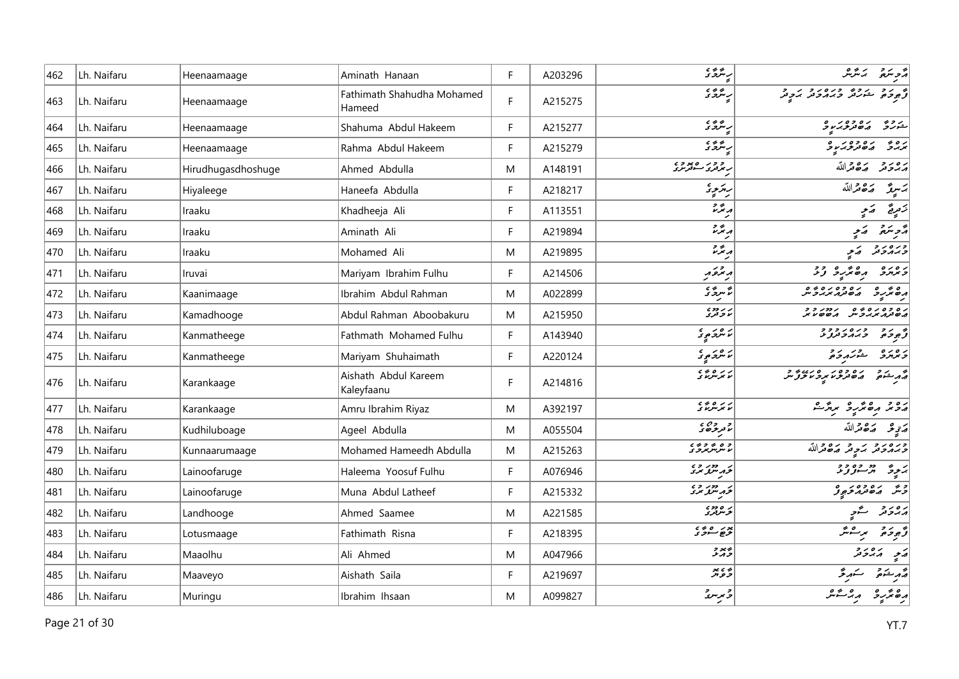|             |                    |                                      |                |         |                                               | أأترجع أتراشر                                                                                    |
|-------------|--------------------|--------------------------------------|----------------|---------|-----------------------------------------------|--------------------------------------------------------------------------------------------------|
| Lh. Naifaru | Heenaamaage        | Fathimath Shahudha Mohamed<br>Hameed | F              | A215275 | رېږي                                          | و دو دوه وره دو د و                                                                              |
| Lh. Naifaru | Heenaamaage        | Shahuma Abdul Hakeem                 | F              | A215277 | رېژونه<br>په مرد د                            | شروه رەمەدەر ە                                                                                   |
| Lh. Naifaru | Heenaamaage        | Rahma Abdul Hakeem                   | F              | A215279 | ر پور ،<br>بر سرچ ی                           | ره د ده دور و                                                                                    |
| Lh. Naifaru | Hirudhugasdhoshuge | Ahmed Abdulla                        | M              | A148191 | و و ر مه د و د<br>ر بوتوی سوتوس               | برورد بردولله                                                                                    |
| Lh. Naifaru | Hiyaleege          | Haneefa Abdulla                      | F              | A218217 | رېز پوت <sup>ى</sup>                          | أُبَسِيعٌ صَدَّدَاللَّهُ                                                                         |
| Lh. Naifaru | Iraaku             | Khadheeja Ali                        | F              | A113551 | ەپرىز                                         | تزميرچ = صَحِي                                                                                   |
| Lh. Naifaru | Iraaku             | Aminath Ali                          | F              | A219894 | وبترء                                         | أروسكو<br>ەتىر                                                                                   |
| Lh. Naifaru | Iraaku             | Mohamed Ali                          | ${\sf M}$      | A219895 | ە پۇر                                         | ورەر دىر                                                                                         |
| Lh. Naifaru | Iruvai             | Mariyam Ibrahim Fulhu                | F              | A214506 | وبخرقه                                        | دە ئەرە دى<br>ر ه ر ه<br><del>د</del> بربر د                                                     |
| Lh. Naifaru | Kaanimaage         | Ibrahim Abdul Rahman                 | M              | A022899 | تأسر محمح                                     | ر ٥ ٥ ٥ ٥ ٥ ٠ ٥<br>۵ ن <i>قرو بوبر <del>و</del> س</i><br>اړه تر پرو                              |
| Lh. Naifaru | Kamadhooge         | Abdul Rahman Aboobakuru              | ${\sf M}$      | A215950 | ر رود ،<br>ما <del>و</del> تو د               | נסכם נסכם נחבר כ<br>הסנג בגבית <mark>הס</mark> סטיב                                              |
| Lh. Naifaru | Kanmatheege        | Fathmath Mohamed Fulhu               | F              | A143940 | ئەشرى <i>خ م</i> وتى                          | و در دره درود<br>از وده د بر درون                                                                |
| Lh. Naifaru | Kanmatheege        | Mariyam Shuhaimath                   | F              | A220124 | ىز مەر ئەر <sup>ى</sup>                       | و وره شو دو دو                                                                                   |
| Lh. Naifaru | Karankaage         | Aishath Abdul Kareem<br>Kaleyfaanu   | F              | A214816 | ر ر ه و ،<br>ما <del>ب</del> رمبر <i>ما</i> ی | י מרי מסינת סגוות ה                                                                              |
| Lh. Naifaru | Karankaage         | Amru Ibrahim Riyaz                   | ${\sf M}$      | A392197 | ر ر ه و د ،<br>ما موسود د                     | رە دېرە ئورد برېزىش                                                                              |
| Lh. Naifaru | Kudhiluboage       | Ageel Abdulla                        | M              | A055504 | و وه و<br>ما ترون د                           | أَمَّ تَوْعَمُ مَصْحَدِّاللَّهُ                                                                  |
| Lh. Naifaru | Kunnaarumaage      | Mohamed Hameedh Abdulla              | M              | A215263 | و ه و و و ،<br>ما س س پر و ی                  | وره رو برو دره درالله                                                                            |
| Lh. Naifaru | Lainoofaruge       | Haleema Yoosuf Fulhu                 | F              | A076946 | ا در دور و ،<br>اخر پرسر سرد                  | ر ده ده ده ده ده<br>پروژه پر ده دو                                                               |
| Lh. Naifaru | Lainoofaruge       | Muna Abdul Latheef                   | F              | A215332 | ى پەر دەپرە<br>ئەر ئىنتى ئىرى                 | 2020202020                                                                                       |
| Lh. Naifaru | Landhooge          | Ahmed Saamee                         | M              | A221585 | ر ۵ وو ،<br>نومبربری                          | پرونز گړي                                                                                        |
| Lh. Naifaru | Lotusmaage         | Fathimath Risna                      | F              | A218395 | پر رہ دی<br>مربح سکوی                         | قۇچۇھ برىشىگە                                                                                    |
| Lh. Naifaru | Maaolhu            | Ali Ahmed                            | M              | A047966 | یو بر و<br>تر <i>آر</i> نل                    | أتكمي المردور                                                                                    |
| Lh. Naifaru | Maaveyo            | Aishath Saila                        | F              | A219697 | پر پر<br>تر <i>و</i> پر                       | ومرشو سور                                                                                        |
| Lh. Naifaru | Muringu            | Ibrahim Ihsaan                       | ${\sf M}$      | A099827 | ا ئەسمەسىيە<br>مەس                            | $\begin{array}{cc} 0 & 0 & 0 & 0 \\ 0 & 0 & 0 & 0 \\ 0 & 0 & 0 & 0 \\ 0 & 0 & 0 & 0 \end{array}$ |
|             | Lh. Naifaru        | Heenaamaage                          | Aminath Hanaan | F       | A203296                                       | ر پڙھ ي<br>پي                                                                                    |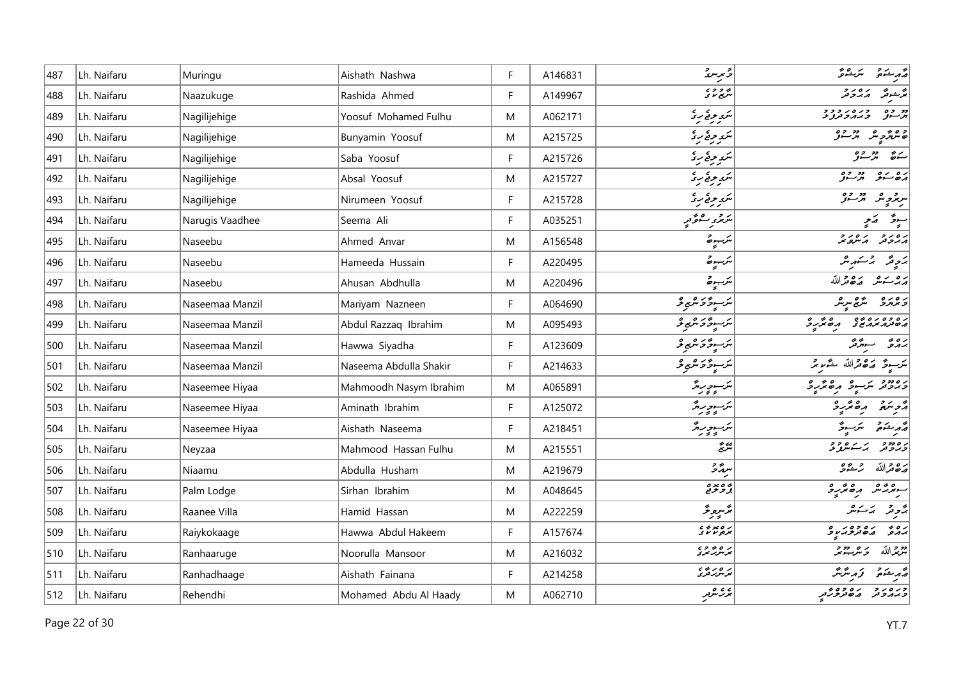| 487 | Lh. Naifaru | Muringu         | Aishath Nashwa         | F         | A146831 | وتمرسر                                       | م د شوه سرعونو د مورد د د د کار د د د کار د د د کار د د د د کار د د د د کار د د د د د د د کار د د د د د کار د<br>د کار د کار د کار د کار د کار د کار د کار د کار د کار د کار د کار د کار د کار د کار د کار د کار د کار د کار د |
|-----|-------------|-----------------|------------------------|-----------|---------|----------------------------------------------|--------------------------------------------------------------------------------------------------------------------------------------------------------------------------------------------------------------------------------|
| 488 | Lh. Naifaru | Naazukuge       | Rashida Ahmed          | F         | A149967 | پر و و ء<br>سرچ ما ي                         | گرجونگر كەركەن                                                                                                                                                                                                                 |
| 489 | Lh. Naifaru | Nagilijehige    | Yoosuf Mohamed Fulhu   | ${\sf M}$ | A062171 | ىئرى <sub>م</sub> وقى <i>ر</i> ى<br>سىمە بەر | מ כם כנסנכנב<br>ת—נו כמתכנקצע                                                                                                                                                                                                  |
| 490 | Lh. Naifaru | Nagilijehige    | Bunyamin Yoosuf        | M         | A215725 | متر و د د د د<br>مرد م                       | و مرکز مرد و و و و و م                                                                                                                                                                                                         |
| 491 | Lh. Naifaru | Nagilijehige    | Saba Yoosuf            | F         | A215726 | متر وفي رئي<br>متر وفي رئي                   | سەھ دىرىسو                                                                                                                                                                                                                     |
| 492 | Lh. Naifaru | Nagilijehige    | Absal Yoosuf           | M         | A215727 | مكر وفح ر <sup>ي</sup>                       | ړه پره ده ده                                                                                                                                                                                                                   |
| 493 | Lh. Naifaru | Nagilijehige    | Nirumeen Yoosuf        | F         | A215728 | سر<br>سر پر موقع سری                         | سرپر چه په دوروه<br>مسرپر چه پېړل                                                                                                                                                                                              |
| 494 | Lh. Naifaru | Narugis Vaadhee | Seema Ali              | F         | A035251 | ىئەتترى <sub>ر</sub> مەھ <sup>م</sup> ىر     | سوځي اونځونه                                                                                                                                                                                                                   |
| 495 | Lh. Naifaru | Naseebu         | Ahmed Anvar            | ${\sf M}$ | A156548 | ىگە بىرە<br>ئە                               | גפנק גפנק                                                                                                                                                                                                                      |
| 496 | Lh. Naifaru | Naseebu         | Hameeda Hussain        | F         | A220495 | ىگە بىرە<br>ئە                               | پرچ پر پر شهر مگر                                                                                                                                                                                                              |
| 497 | Lh. Naifaru | Naseebu         | Ahusan Abdhulla        | M         | A220496 | سرَسوة                                       | م م سك محصر الله                                                                                                                                                                                                               |
| 498 | Lh. Naifaru | Naseemaa Manzil | Mariyam Nazneen        | F         | A064690 | ﯩﺮﯨﺒﯩﯘﺩﯨﻤﭙﯘ                                  | دەرە شىرسى                                                                                                                                                                                                                     |
| 499 | Lh. Naifaru | Naseemaa Manzil | Abdul Razzaq Ibrahim   | ${\sf M}$ | A095493 | ىرسىر ئەر قى <sub>م</sub> ئى                 | גם כם גם כם הם מגים                                                                                                                                                                                                            |
| 500 | Lh. Naifaru | Naseemaa Manzil | Hawwa Siyadha          | F         | A123609 | ىئەس <sub>ى</sub> رى ئۇ ئەسىر قە             | رە يەر                                                                                                                                                                                                                         |
| 501 | Lh. Naifaru | Naseemaa Manzil | Naseema Abdulla Shakir | F         | A214633 | ىئەسىر <i>ۇ ئە</i> ھبىر بۇ                   | ىترىسوڭ ئەھ تىراللە ھەر بىر                                                                                                                                                                                                    |
| 502 | Lh. Naifaru | Naseemee Hiyaa  | Mahmoodh Nasym Ibrahim | M         | A065891 | ىئەسىزىرىدۇ.<br>مەسىم ئىسىم                  | גם חבר גם הסתנב                                                                                                                                                                                                                |
| 503 | Lh. Naifaru | Naseemee Hiyaa  | Aminath Ibrahim        | F         | A125072 | ىئەسىز رىڭر<br>مەمۇرىيە                      | ومحر يتمعى مره تمريره                                                                                                                                                                                                          |
| 504 | Lh. Naifaru | Naseemee Hiyaa  | Aishath Naseema        | F         | A218451 |                                              | وأرشكم الكرسوم                                                                                                                                                                                                                 |
| 505 | Lh. Naifaru | Neyzaa          | Mahmood Hassan Fulhu   | M         | A215551 | سمج                                          | ره دو د کرک و و و<br>تربرتار کرک کرکونل                                                                                                                                                                                        |
| 506 | Lh. Naifaru | Niaamu          | Abdulla Husham         | M         | A219679 | سرچمو                                        | مَدْهُ مِّرَاللَّهُ رَّسْتُوْرُ                                                                                                                                                                                                |
| 507 | Lh. Naifaru | Palm Lodge      | Sirhan Ibrahim         | ${\sf M}$ | A048645 | پر ه پر ه<br>  پر مرموج                      | سوپر سر موسمز                                                                                                                                                                                                                  |
| 508 | Lh. Naifaru | Raanee Villa    | Hamid Hassan           | ${\sf M}$ | A222259 | مَّرْ سرِهِ مََّر                            |                                                                                                                                                                                                                                |
| 509 | Lh. Naifaru | Raiykokaage     | Hawwa Abdul Hakeem     | F         | A157674 | ر ٥ پر دي<br>برو د د د ک                     |                                                                                                                                                                                                                                |
| 510 | Lh. Naifaru | Ranhaaruge      | Noorulla Mansoor       | ${\sf M}$ | A216032 | ر ۵ ۶ و ۷<br>برس پر بری                      | تتريرالله<br>ر ه دو د                                                                                                                                                                                                          |
| 511 | Lh. Naifaru | Ranhadhaage     | Aishath Fainana        | F         | A214258 | ر ۵ ر ۵ ر<br>بر سربر تر پ                    | ۇرىشقى ئەرشىگە                                                                                                                                                                                                                 |
| 512 | Lh. Naifaru | Rehendhi        | Mohamed Abdu Al Haady  | ${\sf M}$ | A062710 | برر مرمر                                     | وره رو ده وه و.<br><i>د ب</i> رمرونر م <i>ن فرورگو</i> ر                                                                                                                                                                       |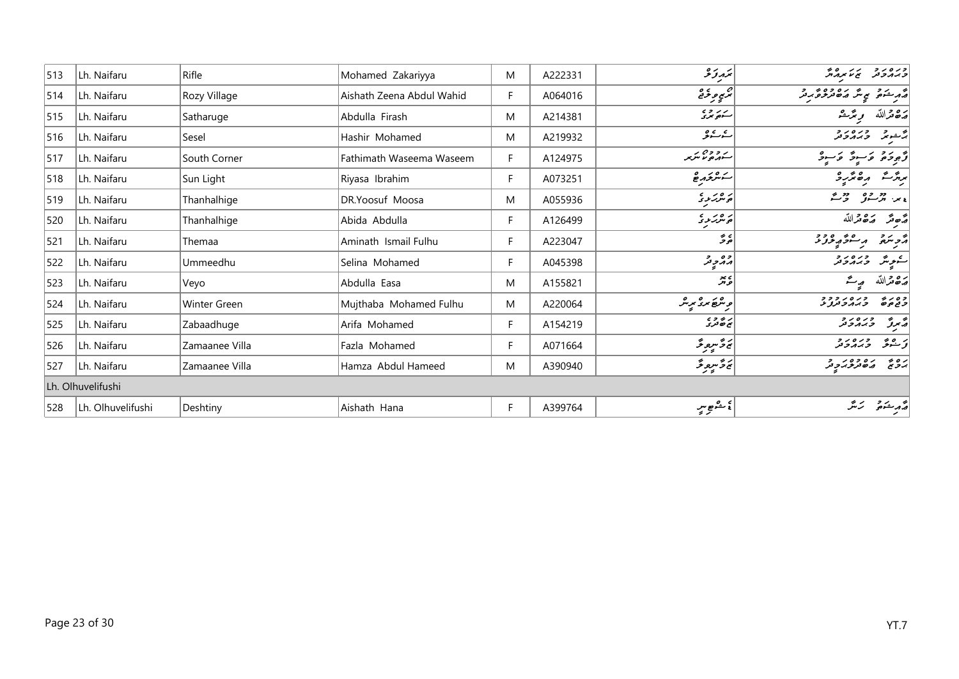| 513 | Lh. Naifaru       | Rifle               | Mohamed Zakariyya         | M  | A222331 | بخەر تو بى                        | כנסני בינים                                                                                                   |
|-----|-------------------|---------------------|---------------------------|----|---------|-----------------------------------|---------------------------------------------------------------------------------------------------------------|
| 514 | Lh. Naifaru       | Rozy Village        | Aishath Zeena Abdul Wahid | F  | A064016 | حربي وتزقح                        | و ديگرد سي مره ده و د د                                                                                       |
| 515 | Lh. Naifaru       | Satharuge           | Abdulla Firash            | M  | A214381 | ے پر و ۽<br>ستونون                | <mark>ەرھەتر</mark> اللە م <sub>و</sub> ىترىشە                                                                |
| 516 | Lh. Naifaru       | Sesel               | Hashir Mohamed            | M  | A219932 | يە يەيۋ                           | ا ششو سر در در در در در در در این در در این در در در در این دست کردن در در در دار به دست کار در دست کردن در د |
| 517 | Lh. Naifaru       | South Corner        | Fathimath Waseema Waseem  | F  | A124975 | 10221<br>سنهره بمأ متربو          | أزُّبودَةً أو الله أو الله و                                                                                  |
| 518 | Lh. Naifaru       | Sun Light           | Riyasa Ibrahim            | F  | A073251 | سەنئىر ئەھ                        | پروژ کے ارکھ تربری                                                                                            |
| 519 | Lh. Naifaru       | Thanhalhige         | DR.Yoosuf Moosa           | M  | A055936 | پر ۵ پر پر پر<br>  هوسر سر پر     | جبر دو وہ دو گ                                                                                                |
| 520 | Lh. Naifaru       | Thanhalhige         | Abida Abdulla             | F. | A126499 | پر هربر دی                        | أَصَّ صَدَّة اللَّهُ                                                                                          |
| 521 | Lh. Naifaru       | Themaa              | Aminath Ismail Fulhu      | F  | A223047 | ج خ<br>حو څ                       | و ده در مورود                                                                                                 |
| 522 | l Lh. Naifaru     | Ummeedhu            | Selina Mohamed            | F  | A045398 | پر پر چر                          | ڪوپٽر<br>و رە ر د<br><i>د ب</i> رگرىز                                                                         |
| 523 | l Lh. Naifaru     | Veyo                | Abdulla Easa              | M  | A155821 | ى بىر<br>حەلز                     | 20 مرالله ب <i>ه ت</i>                                                                                        |
| 524 | Lh. Naifaru       | <b>Winter Green</b> | Mujthaba Mohamed Fulhu    | M  | A220064 | موسمع سره سر مر                   | و ه بر پر<br>تر قع گ<br>- <i>- - - - - -</i><br>- <i>- - - - - - -</i>                                        |
| 525 | Lh. Naifaru       | Zabaadhuge          | Arifa Mohamed             | F  | A154219 | ر ۶۵ و ء<br>پح تھ تر <sub>ک</sub> | و ره ر و<br>تر پروتر<br>ەتىرىق                                                                                |
| 526 | Lh. Naifaru       | Zamaanee Villa      | Fazla Mohamed             | F  | A071664 | ئ ۇ سرە ئۇ<br>╭                   | كر ه پوره د در د                                                                                              |
| 527 | Lh. Naifaru       | Zamaanee Villa      | Hamza Abdul Hameed        | M  | A390940 | ئە ئەسپرىتى                       | ره د ده ده د د                                                                                                |
|     | Lh. Olhuvelifushi |                     |                           |    |         |                                   |                                                                                                               |
| 528 | Lh. Olhuvelifushi | Deshtiny            | Aishath Hana              | F. | A399764 | } ڪ <sub>ھ</sub> وسر              | أصمر شقوط كرمتر                                                                                               |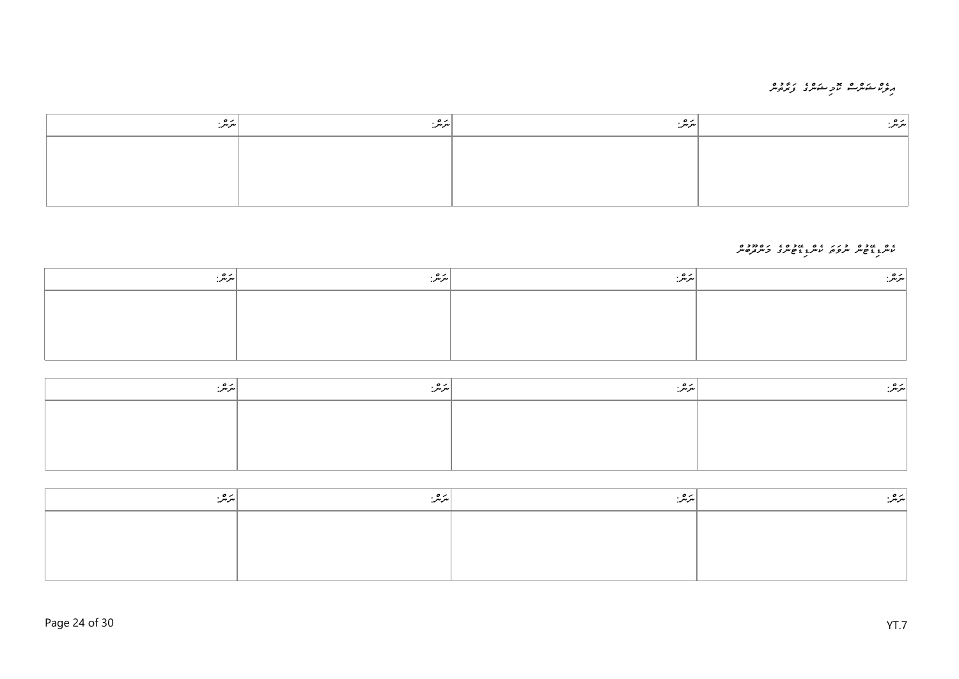## *w7qAn8m? sCw7mRo>u; wEw7mRw;sBo<*

| ' مرمر | 'يئرىثر: |
|--------|----------|
|        |          |
|        |          |
|        |          |

## *w7q9r@w7m> sCw7qHtFoFw7s; mAm=q7 w7qHtFoFw7s;*

| ىر تە | $\mathcal{O} \times$<br>$\sim$ | $\sim$<br>. . | لترنثر |
|-------|--------------------------------|---------------|--------|
|       |                                |               |        |
|       |                                |               |        |
|       |                                |               |        |

| يره | $^{\circ}$ | $\frac{2}{n}$ | $^{\circ}$<br>سرسر. |
|-----|------------|---------------|---------------------|
|     |            |               |                     |
|     |            |               |                     |
|     |            |               |                     |

| ' ئىرتىر: | سر سر |  |
|-----------|-------|--|
|           |       |  |
|           |       |  |
|           |       |  |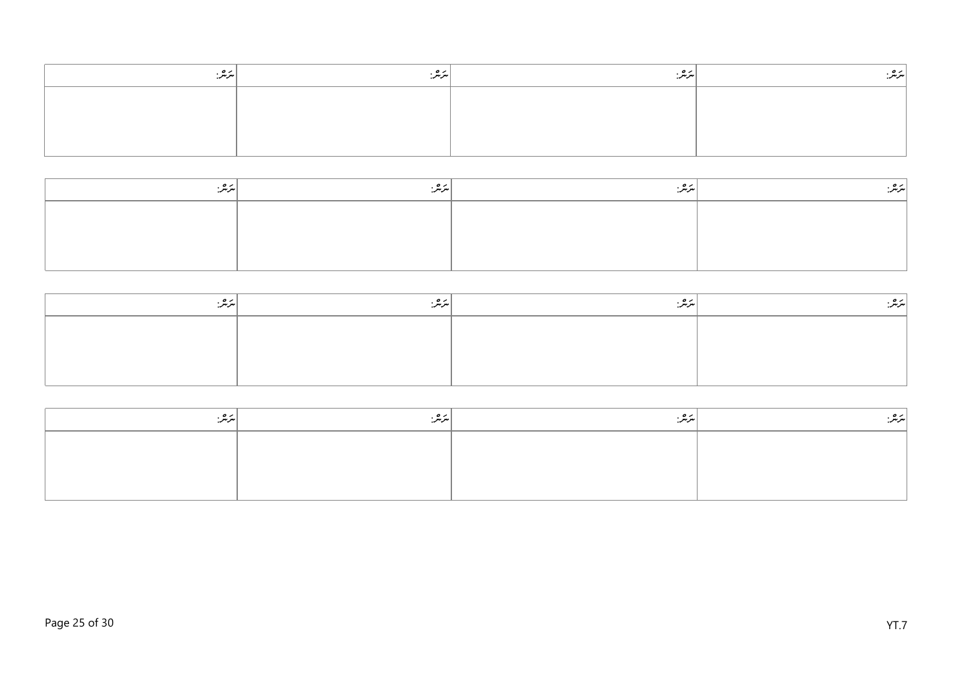| يزهر | $^{\circ}$ | ىئرىتر: |  |
|------|------------|---------|--|
|      |            |         |  |
|      |            |         |  |
|      |            |         |  |

| متريثر به | 。<br>'سرسر'۔ | يتزيترا | سرسر |
|-----------|--------------|---------|------|
|           |              |         |      |
|           |              |         |      |
|           |              |         |      |

| ىئرىتر. | $\sim$ | ا بر هه. | لىرىش |
|---------|--------|----------|-------|
|         |        |          |       |
|         |        |          |       |
|         |        |          |       |

| 。<br>مرس. | $\overline{\phantom{a}}$<br>مر مىر | يتريثر |
|-----------|------------------------------------|--------|
|           |                                    |        |
|           |                                    |        |
|           |                                    |        |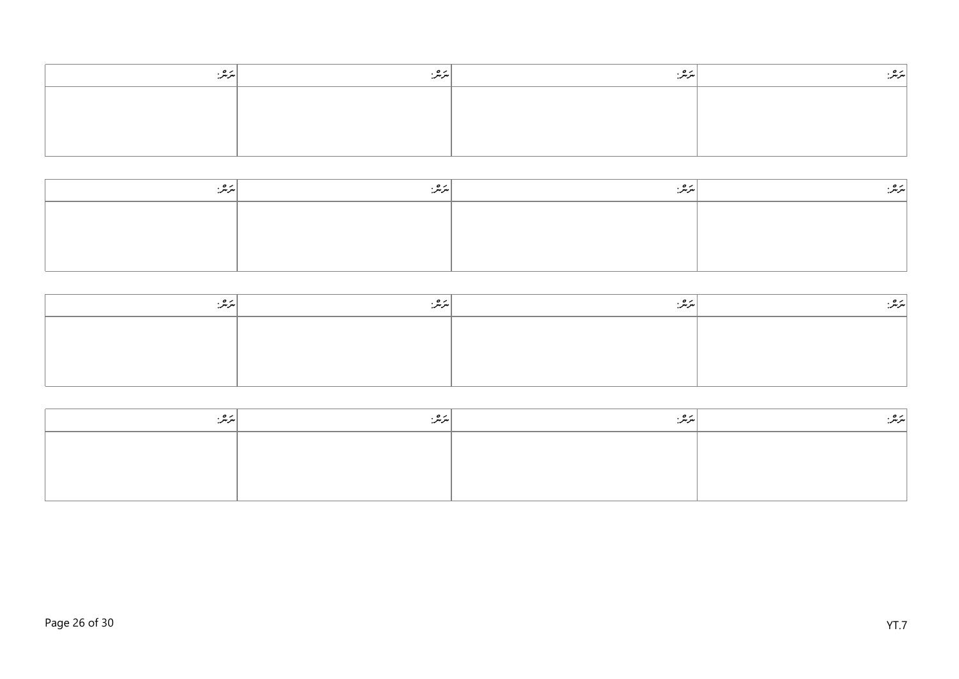| ير هو . | $\overline{\phantom{a}}$ | يرمر | اير هنه. |
|---------|--------------------------|------|----------|
|         |                          |      |          |
|         |                          |      |          |
|         |                          |      |          |

| ئىرتىر: | $\sim$<br>ا سرسر . | يئرمثر | o . |
|---------|--------------------|--------|-----|
|         |                    |        |     |
|         |                    |        |     |
|         |                    |        |     |

| الترنثر: | ' مرتكز: | الترنثر: | .,<br>سرسر. |
|----------|----------|----------|-------------|
|          |          |          |             |
|          |          |          |             |
|          |          |          |             |

|  | . ه |
|--|-----|
|  |     |
|  |     |
|  |     |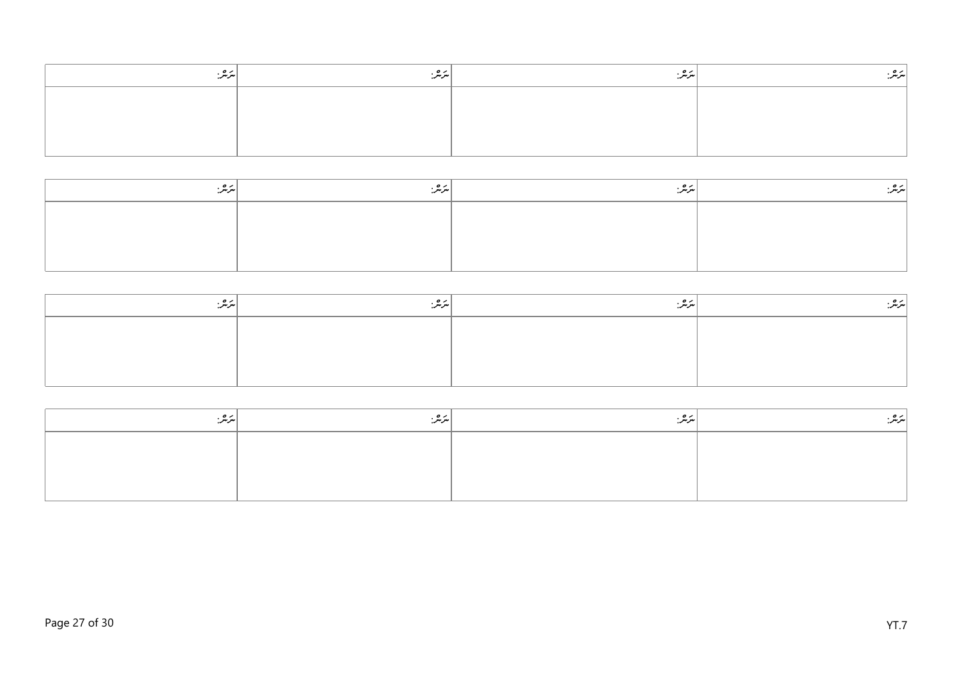| ير هو . | $\overline{\phantom{a}}$ | يرمر | اير هنه. |
|---------|--------------------------|------|----------|
|         |                          |      |          |
|         |                          |      |          |
|         |                          |      |          |

| ىر تىر: | $\circ$ $\sim$<br>" سرسر . | يبرحه | o . |
|---------|----------------------------|-------|-----|
|         |                            |       |     |
|         |                            |       |     |
|         |                            |       |     |

| انترنثر: | ر ه |  |
|----------|-----|--|
|          |     |  |
|          |     |  |
|          |     |  |

|  | . ه |
|--|-----|
|  |     |
|  |     |
|  |     |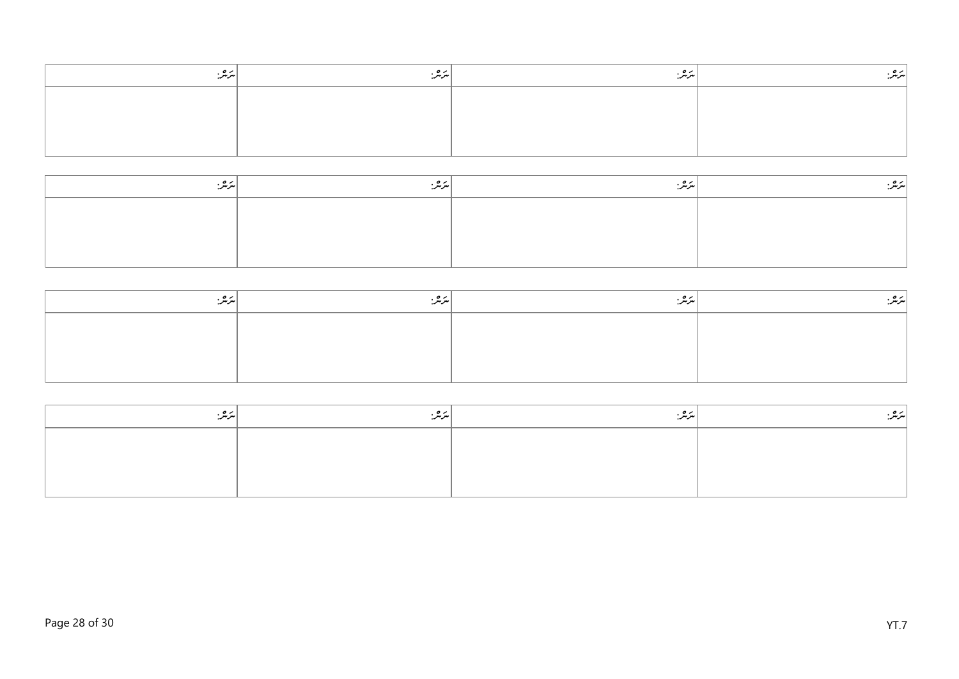| $\cdot$ | ο. | $\frac{\circ}{\cdot}$ | $\sim$<br>سرسر |
|---------|----|-----------------------|----------------|
|         |    |                       |                |
|         |    |                       |                |
|         |    |                       |                |

| ايرعر: | ر ه<br>. . |  |
|--------|------------|--|
|        |            |  |
|        |            |  |
|        |            |  |

| بر ه | 。 | $\sim$<br>َ سومس. |  |
|------|---|-------------------|--|
|      |   |                   |  |
|      |   |                   |  |
|      |   |                   |  |

| 。<br>. س | ىرىىر |  |
|----------|-------|--|
|          |       |  |
|          |       |  |
|          |       |  |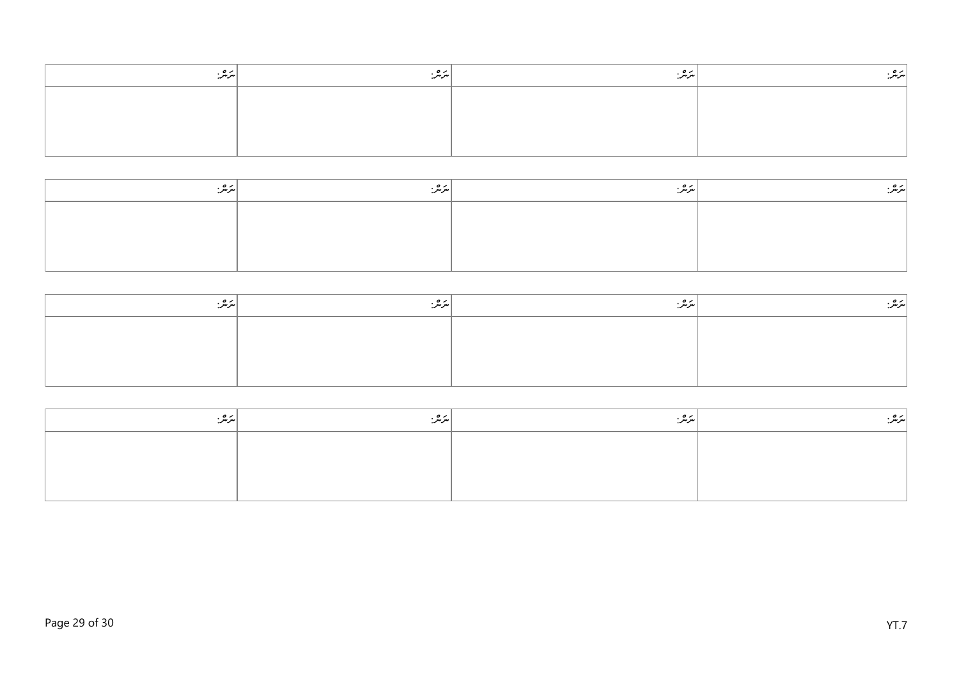| ير هو . | $\overline{\phantom{a}}$ | يرمر | لتزمثن |
|---------|--------------------------|------|--------|
|         |                          |      |        |
|         |                          |      |        |
|         |                          |      |        |

| ئىرتىر: | $\sim$<br>ا سرسر . | يئرمثر | o . |
|---------|--------------------|--------|-----|
|         |                    |        |     |
|         |                    |        |     |
|         |                    |        |     |

| الترنثر: | ' مرتكز: | الترنثر: | .,<br>سرسر. |
|----------|----------|----------|-------------|
|          |          |          |             |
|          |          |          |             |
|          |          |          |             |

|  | . ه |
|--|-----|
|  |     |
|  |     |
|  |     |